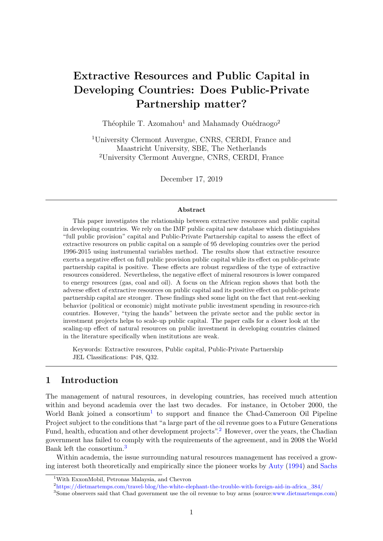# **Extractive Resources and Public Capital in Developing Countries: Does Public-Private Partnership matter?**

Théophile T. Azomahou<sup>1</sup> and Mahamady Ouédraogo<sup>2</sup>

<sup>1</sup>University Clermont Auvergne, CNRS, CERDI, France and Maastricht University, SBE, The Netherlands <sup>2</sup>University Clermont Auvergne, CNRS, CERDI, France

December 17, 2019

#### **Abstract**

This paper investigates the relationship between extractive resources and public capital in developing countries. We rely on the IMF public capital new database which distinguishes "full public provision" capital and Public-Private Partnership capital to assess the effect of extractive resources on public capital on a sample of 95 developing countries over the period 1996-2015 using instrumental variables method. The results show that extractive resource exerts a negative effect on full public provision public capital while its effect on public-private partnership capital is positive. These effects are robust regardless of the type of extractive resources considered. Nevertheless, the negative effect of mineral resources is lower compared to energy resources (gas, coal and oil). A focus on the African region shows that both the adverse effect of extractive resources on public capital and its positive effect on public-private partnership capital are stronger. These findings shed some light on the fact that rent-seeking behavior (political or economic) might motivate public investment spending in resource-rich countries. However, "tying the hands" between the private sector and the public sector in investment projects helps to scale-up public capital. The paper calls for a closer look at the scaling-up effect of natural resources on public investment in developing countries claimed in the literature specifically when institutions are weak.

Keywords: Extractive resources, Public capital, Public-Private Partnership JEL Classifications: P48, Q32.

# **1 Introduction**

The management of natural resources, in developing countries, has received much attention within and beyond academia over the last two decades. For instance, in October 2000, the World Bank joined a consortium<sup>[1](#page-0-0)</sup> to support and finance the Chad-Cameroon Oil Pipeline Project subject to the conditions that "a large part of the oil revenue goes to a Future Generations Fund, health, education and other development projects".<sup>[2](#page-0-1)</sup> However, over the years, the Chadian government has failed to comply with the requirements of the agreement, and in 2008 the World Bank left the consortium.[3](#page-0-2)

Within academia, the issue surrounding natural resources management has received a growing interest both theoretically and empirically since the pioneer works by [Auty](#page-21-0) [\(1994\)](#page-21-0) and [Sachs](#page-23-0)

<span id="page-0-1"></span><sup>2</sup>[https://dietmartemps.com/travel-blog/the-white-elephant-the-trouble-with-foreign-aid-in-africa\\_384/](#page-23-0)

<span id="page-0-0"></span><sup>1</sup>[With ExxonMobil, Petronas Malaysia, and Chevron](#page-23-0)

<span id="page-0-2"></span><sup>3</sup>[Some observers said that Chad government use the oil revenue to buy arms \(source:www.dietmartemps.com\)](#page-23-0)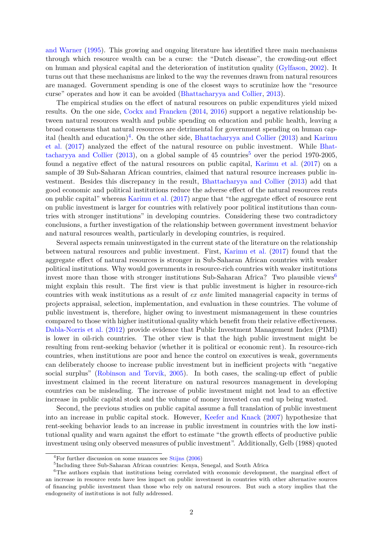[and Warner](#page-23-0) [\(1995\)](#page-23-0). This growing and ongoing literature has identified three main mechanisms through which resource wealth can be a curse: the "Dutch disease", the crowding-out effect on human and physical capital and the deterioration of institution quality [\(Gylfason,](#page-22-0) [2002\)](#page-22-0). It turns out that these mechanisms are linked to the way the revenues drawn from natural resources are managed. Government spending is one of the closest ways to scrutinize how the "resource curse" operates and how it can be avoided [\(Bhattacharyya and Collier,](#page-21-1) [2013\)](#page-21-1).

The empirical studies on the effect of natural resources on public expenditures yield mixed results. On the one side, [Cockx and Francken](#page-21-2) [\(2014,](#page-21-2) [2016\)](#page-21-3) support a negative relationship between natural resources wealth and public spending on education and public health, leaving a broad consensus that natural resources are detrimental for government spending on human cap-ital (health and education)<sup>[4](#page-1-0)</sup>. On the other side, [Bhattacharyya and Collier](#page-21-1) [\(2013\)](#page-21-1) and [Karimu](#page-22-1) [et al.](#page-22-1) [\(2017\)](#page-22-1) analyzed the effect of the natural resource on public investment. While [Bhat](#page-21-1)[tacharyya and Collier](#page-21-1) [\(2013\)](#page-21-1), on a global sample of 4[5](#page-1-1) countries<sup>5</sup> over the period 1970-2005, found a negative effect of the natural resources on public capital, [Karimu et al.](#page-22-1) [\(2017\)](#page-22-1) on a sample of 39 Sub-Saharan African countries, claimed that natural resource increases public investment. Besides this discrepancy in the result, [Bhattacharyya and Collier](#page-21-1) [\(2013\)](#page-21-1) add that good economic and political institutions reduce the adverse effect of the natural resources rents on public capital" whereas [Karimu et al.](#page-22-1) [\(2017\)](#page-22-1) argue that "the aggregate effect of resource rent on public investment is larger for countries with relatively poor political institutions than countries with stronger institutions" in developing countries. Considering these two contradictory conclusions, a further investigation of the relationship between government investment behavior and natural resources wealth, particularly in developing countries, is required.

Several aspects remain uninvestigated in the current state of the literature on the relationship between natural resources and public investment. First, [Karimu et al.](#page-22-1) [\(2017\)](#page-22-1) found that the aggregate effect of natural resources is stronger in Sub-Saharan African countries with weaker political institutions. Why would governments in resource-rich countries with weaker institutions invest more than those with stronger institutions Sub-Saharan Africa? Two plausible views<sup>[6](#page-1-2)</sup> might explain this result. The first view is that public investment is higher in resource-rich countries with weak institutions as a result of *ex ante* limited managerial capacity in terms of projects appraisal, selection, implementation, and evaluation in these countries. The volume of public investment is, therefore, higher owing to investment mismanagement in these countries compared to those with higher institutional quality which benefit from their relative effectiveness. [Dabla-Norris et al.](#page-22-2) [\(2012\)](#page-22-2) provide evidence that Public Investment Management Index (PIMI) is lower in oil-rich countries. The other view is that the high public investment might be resulting from rent-seeking behavior (whether it is political or economic rent). In resource-rich countries, when institutions are poor and hence the control on executives is weak, governments can deliberately choose to increase public investment but in inefficient projects with "negative social surplus" [\(Robinson and Torvik,](#page-23-1) [2005\)](#page-23-1). In both cases, the scaling-up effect of public investment claimed in the recent literature on natural resources management in developing countries can be misleading. The increase of public investment might not lead to an effective increase in public capital stock and the volume of money invested can end up being wasted.

Second, the previous studies on public capital assume a full translation of public investment into an increase in public capital stock. However, [Keefer and Knack](#page-22-3) [\(2007\)](#page-22-3) hypothesize that rent-seeking behavior leads to an increase in public investment in countries with the low institutional quality and warn against the effort to estimate "the growth effects of productive public investment using only observed measures of public investment". Additionally, Gelb (1988) quoted

<span id="page-1-0"></span> ${}^{4}$ For further discussion on some nuances see [Stijns](#page-23-2) [\(2006\)](#page-23-2)

<span id="page-1-2"></span><span id="page-1-1"></span><sup>&</sup>lt;sup>5</sup>Including three Sub-Saharan African countries: Kenya, Senegal, and South Africa

<sup>&</sup>lt;sup>6</sup>The authors explain that institutions being correlated with economic development, the marginal effect of an increase in resource rents have less impact on public investment in countries with other alternative sources of financing public investment than those who rely on natural resources. But such a story implies that the endogeneity of institutions is not fully addressed.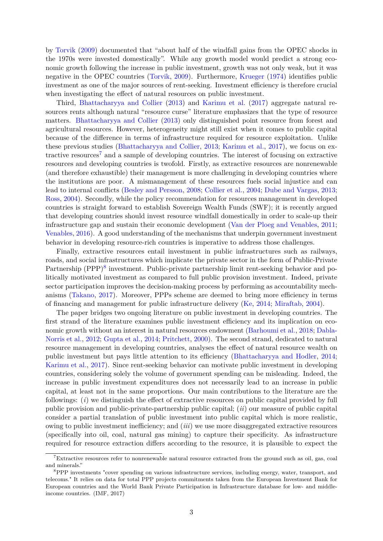by [Torvik](#page-24-0) [\(2009\)](#page-24-0) documented that "about half of the windfall gains from the OPEC shocks in the 1970s were invested domestically". While any growth model would predict a strong economic growth following the increase in public investment, growth was not only weak, but it was negative in the OPEC countries [\(Torvik,](#page-24-0) [2009\)](#page-24-0). Furthermore, [Krueger](#page-23-3) [\(1974\)](#page-23-3) identifies public investment as one of the major sources of rent-seeking. Investment efficiency is therefore crucial when investigating the effect of natural resources on public investment.

Third, [Bhattacharyya and Collier](#page-21-1) [\(2013\)](#page-21-1) and [Karimu et al.](#page-22-1) [\(2017\)](#page-22-1) aggregate natural resources rents although natural "resource curse" literature emphasizes that the type of resource matters. [Bhattacharyya and Collier](#page-21-1) [\(2013\)](#page-21-1) only distinguished point resource from forest and agricultural resources. However, heterogeneity might still exist when it comes to public capital because of the difference in terms of infrastructure required for resource exploitation. Unlike these previous studies [\(Bhattacharyya and Collier,](#page-21-1) [2013;](#page-21-1) [Karimu et al.,](#page-22-1) [2017\)](#page-22-1), we focus on ex-tractive resources<sup>[7](#page-2-0)</sup> and a sample of developing countries. The interest of focusing on extractive resources and developing countries is twofold. Firstly, as extractive resources are nonrenewable (and therefore exhaustible) their management is more challenging in developing countries where the institutions are poor. A mismanagement of these resources fuels social injustice and can lead to internal conflicts [\(Besley and Persson,](#page-21-4) [2008;](#page-21-4) [Collier et al.,](#page-22-4) [2004;](#page-22-4) [Dube and Vargas,](#page-22-5) [2013;](#page-22-5) [Ross,](#page-23-4) [2004\)](#page-23-4). Secondly, while the policy recommendation for resources management in developed countries is straight forward to establish Sovereign Wealth Funds (SWF); it is recently argued that developing countries should invest resource windfall domestically in order to scale-up their infrastructure gap and sustain their economic development [\(Van der Ploeg and Venables,](#page-24-1) [2011;](#page-24-1) [Venables,](#page-24-2) [2016\)](#page-24-2). A good understanding of the mechanisms that underpin government investment behavior in developing resource-rich countries is imperative to address those challenges.

Finally, extractive resources entail investment in public infrastructures such as railways, roads, and social infrastructures which implicate the private sector in the form of Public-Private Partnership (PPP)<sup>[8](#page-2-1)</sup> investment. Public-private partnership limit rent-seeking behavior and politically motivated investment as compared to full public provision investment. Indeed, private sector participation improves the decision-making process by performing as accountability mechanisms [\(Takano,](#page-24-3) [2017\)](#page-24-3). Moreover, PPPs scheme are deemed to bring more efficiency in terms of financing and management for public infrastructure delivery [\(Ke,](#page-22-6) [2014;](#page-22-6) [Miraftab,](#page-23-5) [2004\)](#page-23-5).

The paper bridges two ongoing literature on public investment in developing countries. The first strand of the literature examines public investment efficiency and its implication on economic growth without an interest in natural resources endowment [\(Barhoumi et al.,](#page-21-5) [2018;](#page-21-5) [Dabla-](#page-22-2)[Norris et al.,](#page-22-2) [2012;](#page-22-2) [Gupta et al.,](#page-22-7) [2014;](#page-22-7) [Pritchett,](#page-23-6) [2000\)](#page-23-6). The second strand, dedicated to natural resource management in developing countries, analyses the effect of natural resource wealth on public investment but pays little attention to its efficiency [\(Bhattacharyya and Hodler,](#page-21-6) [2014;](#page-21-6) [Karimu et al.,](#page-22-1) [2017\)](#page-22-1). Since rent-seeking behavior can motivate public investment in developing countries, considering solely the volume of government spending can be misleading. Indeed, the increase in public investment expenditures does not necessarily lead to an increase in public capital, at least not in the same proportions. Our main contributions to the literature are the followings: (*i*) we distinguish the effect of extractive resources on public capital provided by full public provision and public-private-partnership public capital; (*ii*) our measure of public capital consider a partial translation of public investment into public capital which is more realistic, owing to public investment inefficiency; and (*iii*) we use more disaggregated extractive resources (specifically into oil, coal, natural gas mining) to capture their specificity. As infrastructure required for resource extraction differs according to the resource, it is plausible to expect the

<span id="page-2-0"></span><sup>&</sup>lt;sup>7</sup>Extractive resources refer to nonrenewable natural resource extracted from the ground such as oil, gas, coal and minerals."

<span id="page-2-1"></span><sup>8</sup>PPP investments "cover spending on various infrastructure services, including energy, water, transport, and telecoms." It relies on data for total PPP projects commitments taken from the European Investment Bank for European countries and the World Bank Private Participation in Infrastructure database for low- and middleincome countries. (IMF, 2017)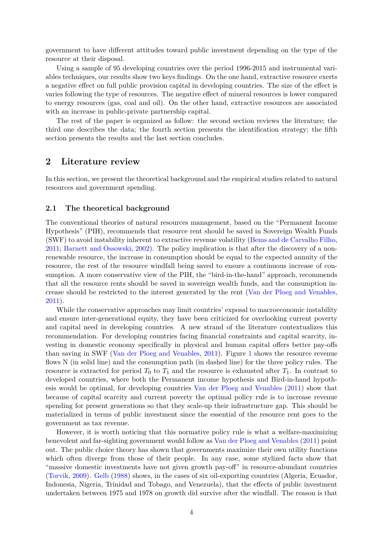government to have different attitudes toward public investment depending on the type of the resource at their disposal.

Using a sample of 95 developing countries over the period 1996-2015 and instrumental variables techniques, our results show two keys findings. On the one hand, extractive resource exerts a negative effect on full public provision capital in developing countries. The size of the effect is varies following the type of resources. The negative effect of mineral resources is lower compared to energy resources (gas, coal and oil). On the other hand, extractive resources are associated with an increase in public-private partnership capital.

The rest of the paper is organized as follow: the second section reviews the literature; the third one describes the data; the fourth section presents the identification strategy; the fifth section presents the results and the last section concludes.

# **2 Literature review**

In this section, we present the theoretical background and the empirical studies related to natural resources and government spending.

#### **2.1 The theoretical background**

The conventional theories of natural resources management, based on the "Permanent Income Hypothesis" (PIH), recommends that resource rent should be saved in Sovereign Wealth Funds (SWF) to avoid instability inherent to extractive revenue volatility [\(Bems and de Carvalho Filho,](#page-21-7) [2011;](#page-21-7) [Barnett and Ossowski,](#page-21-8) [2002\)](#page-21-8). The policy implication is that after the discovery of a nonrenewable resource, the increase in consumption should be equal to the expected annuity of the resource, the rest of the resource windfall being saved to ensure a continuous increase of consumption. A more conservative view of the PIH, the "bird-in-the-hand" approach, recommends that all the resource rents should be saved in sovereign wealth funds, and the consumption increase should be restricted to the interest generated by the rent [\(Van der Ploeg and Venables,](#page-24-1) [2011\)](#page-24-1).

While the conservative approaches may limit countries' exposal to macroeconomic instability and ensure inter-generational equity, they have been criticized for overlooking current poverty and capital need in developing countries. A new strand of the literature contextualizes this recommendation. For developing countries facing financial constraints and capital scarcity, investing in domestic economy specifically in physical and human capital offers better pay-offs than saving in SWF [\(Van der Ploeg and Venables,](#page-24-1) [2011\)](#page-24-1). Figure [1](#page-4-0) shows the resource revenue flows N (in solid line) and the consumption path (in dashed line) for the three policy rules. The resource is extracted for period  $T_0$  to  $T_1$  and the resource is exhausted after  $T_1$ . In contrast to developed countries, where both the Permanent income hypothesis and Bird-in-hand hypothesis would be optimal, for developing countries [Van der Ploeg and Venables](#page-24-1) [\(2011\)](#page-24-1) show that because of capital scarcity and current poverty the optimal policy rule is to increase revenue spending for present generations so that they scale-up their infrastructure gap. This should be materialized in terms of public investment since the essential of the resource rent goes to the government as tax revenue.

However, it is worth noticing that this normative policy rule is what a welfare-maximizing benevolent and far-sighting government would follow as [Van der Ploeg and Venables](#page-24-1) [\(2011\)](#page-24-1) point out. The public choice theory has shown that governments maximize their own utility functions which often diverge from those of their people. In any case, some stylized facts show that "massive domestic investments have not given growth pay-off" in resource-abundant countries [\(Torvik,](#page-24-0) [2009\)](#page-24-0). [Gelb](#page-22-8) [\(1988\)](#page-22-8) shows, in the cases of six oil-exporting countries (Algeria, Ecuador, Indonesia, Nigeria, Trinidad and Tobago, and Venezuela), that the effects of public investment undertaken between 1975 and 1978 on growth did survive after the windfall. The reason is that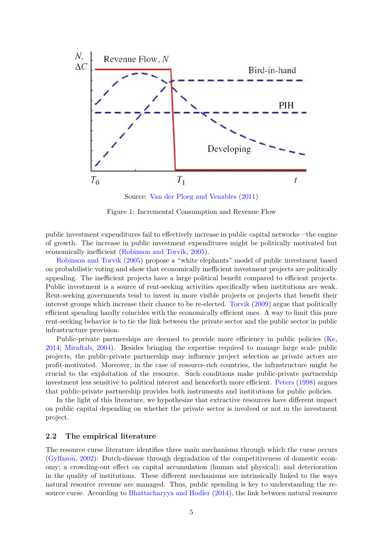<span id="page-4-0"></span>

Source: [Van der Ploeg and Venables](#page-24-1) [\(2011\)](#page-24-1)

Figure 1: Incremental Consumption and Revenue Flow

public investment expenditures fail to effectively increase in public capital networks—the engine of growth. The increase in public investment expenditures might be politically motivated but economically inefficient [\(Robinson and Torvik,](#page-23-1) [2005\)](#page-23-1).

[Robinson and Torvik](#page-23-1) [\(2005\)](#page-23-1) propose a "white elephants" model of public investment based on probabilistic voting and show that economically inefficient investment projects are politically appealing. The inefficient projects have a large political benefit compared to efficient projects. Public investment is a source of rent-seeking activities specifically when institutions are weak. Rent-seeking governments tend to invest in more visible projects or projects that benefit their interest groups which increase their chance to be re-elected. [Torvik](#page-24-0) [\(2009\)](#page-24-0) argue that politically efficient spending hardly coincides with the economically efficient ones. A way to limit this pure rent-seeking behavior is to tie the link between the private sector and the public sector in public infrastructure provision.

Public-private partnerships are deemed to provide more efficiency in public policies [\(Ke,](#page-22-6) [2014;](#page-22-6) [Miraftab,](#page-23-5) [2004\)](#page-23-5). Besides bringing the expertise required to manage large scale public projects, the public-private partnership may influence project selection as private actors are profit-motivated. Moreover, in the case of resource-rich countries, the infrastructure might be crucial to the exploitation of the resource. Such conditions make public-private partnership investment less sensitive to political interest and henceforth more efficient. [Peters](#page-23-7) [\(1998\)](#page-23-7) argues that public-private partnership provides both instruments and institutions for public policies.

In the light of this literature, we hypothesize that extractive resources have different impact on public capital depending on whether the private sector is involved or not in the investment project.

#### **2.2 The empirical literature**

The resource curse literature identifies three main mechanisms through which the curse occurs [\(Gylfason,](#page-22-0) [2002\)](#page-22-0): Dutch-disease through degradation of the competitiveness of domestic economy; a crowding-out effect on capital accumulation (human and physical); and deterioration in the quality of institutions. These different mechanisms are intrinsically linked to the ways natural resource revenue are managed. Thus, public spending is key to understanding the resource curse. According to [Bhattacharyya and Hodler](#page-21-6) [\(2014\)](#page-21-6), the link between natural resource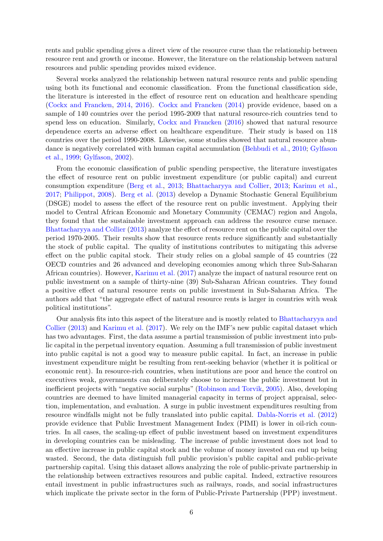rents and public spending gives a direct view of the resource curse than the relationship between resource rent and growth or income. However, the literature on the relationship between natural resources and public spending provides mixed evidence.

Several works analyzed the relationship between natural resource rents and public spending using both its functional and economic classification. From the functional classification side, the literature is interested in the effect of resource rent on education and healthcare spending [\(Cockx and Francken,](#page-21-2) [2014,](#page-21-2) [2016\)](#page-21-3). [Cockx and Francken](#page-21-2) [\(2014\)](#page-21-2) provide evidence, based on a sample of 140 countries over the period 1995-2009 that natural resource-rich countries tend to spend less on education. Similarly, [Cockx and Francken](#page-21-3) [\(2016\)](#page-21-3) showed that natural resource dependence exerts an adverse effect on healthcare expenditure. Their study is based on 118 countries over the period 1990-2008. Likewise, some studies showed that natural resource abundance is negatively correlated with human capital accumulation [\(Behbudi et al.,](#page-21-9) [2010;](#page-21-9) [Gylfason](#page-22-9) [et al.,](#page-22-9) [1999;](#page-22-9) [Gylfason,](#page-22-0) [2002\)](#page-22-0).

From the economic classification of public spending perspective, the literature investigates the effect of resource rent on public investment expenditure (or public capital) and current consumption expenditure [\(Berg et al.,](#page-21-10) [2013;](#page-21-10) [Bhattacharyya and Collier,](#page-21-1) [2013;](#page-21-1) [Karimu et al.,](#page-22-1) [2017;](#page-22-1) [Philippot,](#page-23-8) [2008\)](#page-23-8). [Berg et al.](#page-21-10) [\(2013\)](#page-21-10) develop a Dynamic Stochastic General Equilibrium (DSGE) model to assess the effect of the resource rent on public investment. Applying their model to Central African Economic and Monetary Community (CEMAC) region and Angola, they found that the sustainable investment approach can address the resource curse menace. [Bhattacharyya and Collier](#page-21-1) [\(2013\)](#page-21-1) analyze the effect of resource rent on the public capital over the period 1970-2005. Their results show that resource rents reduce significantly and substantially the stock of public capital. The quality of institutions contributes to mitigating this adverse effect on the public capital stock. Their study relies on a global sample of 45 countries (22 OECD countries and 26 advanced and developing economies among which three Sub-Saharan African countries). However, [Karimu et al.](#page-22-1) [\(2017\)](#page-22-1) analyze the impact of natural resource rent on public investment on a sample of thirty-nine (39) Sub-Saharan African countries. They found a positive effect of natural resource rents on public investment in Sub-Saharan Africa. The authors add that "the aggregate effect of natural resource rents is larger in countries with weak political institutions".

Our analysis fits into this aspect of the literature and is mostly related to [Bhattacharyya and](#page-21-1) [Collier](#page-21-1) [\(2013\)](#page-21-1) and [Karimu et al.](#page-22-1) [\(2017\)](#page-22-1). We rely on the IMF's new public capital dataset which has two advantages. First, the data assume a partial transmission of public investment into public capital in the perpetual inventory equation. Assuming a full transmission of public investment into public capital is not a good way to measure public capital. In fact, an increase in public investment expenditure might be resulting from rent-seeking behavior (whether it is political or economic rent). In resource-rich countries, when institutions are poor and hence the control on executives weak, governments can deliberately choose to increase the public investment but in inefficient projects with "negative social surplus" [\(Robinson and Torvik,](#page-23-1) [2005\)](#page-23-1). Also, developing countries are deemed to have limited managerial capacity in terms of project appraisal, selection, implementation, and evaluation. A surge in public investment expenditures resulting from resource windfalls might not be fully translated into public capital. [Dabla-Norris et al.](#page-22-2) [\(2012\)](#page-22-2) provide evidence that Public Investment Management Index (PIMI) is lower in oil-rich countries. In all cases, the scaling-up effect of public investment based on investment expenditures in developing countries can be misleading. The increase of public investment does not lead to an effective increase in public capital stock and the volume of money invested can end up being wasted. Second, the data distinguish full public provision's public capital and public-private partnership capital. Using this dataset allows analyzing the role of public-private partnership in the relationship between extractives resources and public capital. Indeed, extractive resources entail investment in public infrastructures such as railways, roads, and social infrastructures which implicate the private sector in the form of Public-Private Partnership (PPP) investment.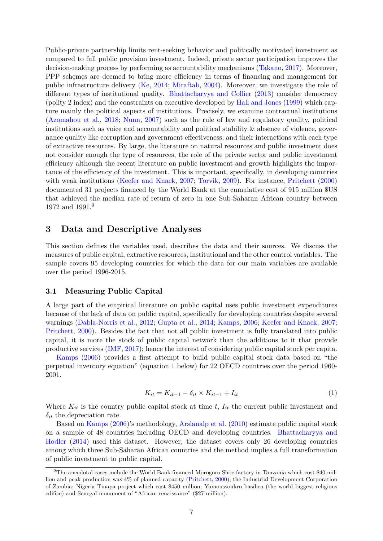Public-private partnership limits rent-seeking behavior and politically motivated investment as compared to full public provision investment. Indeed, private sector participation improves the decision-making process by performing as accountability mechanisms [\(Takano,](#page-24-3) [2017\)](#page-24-3). Moreover, PPP schemes are deemed to bring more efficiency in terms of financing and management for public infrastructure delivery [\(Ke,](#page-22-6) [2014;](#page-22-6) [Miraftab,](#page-23-5) [2004\)](#page-23-5). Moreover, we investigate the role of different types of institutional quality. [Bhattacharyya and Collier](#page-21-1) [\(2013\)](#page-21-1) consider democracy (polity 2 index) and the constraints on executive developed by [Hall and Jones](#page-22-10) [\(1999\)](#page-22-10) which capture mainly the political aspects of institutions. Precisely, we examine contractual institutions [\(Azomahou et al.,](#page-21-11) [2018;](#page-21-11) [Nunn,](#page-23-9) [2007\)](#page-23-9) such as the rule of law and regulatory quality, political institutions such as voice and accountability and political stability  $\&$  absence of violence, governance quality like corruption and government effectiveness; and their interactions with each type of extractive resources. By large, the literature on natural resources and public investment does not consider enough the type of resources, the role of the private sector and public investment efficiency although the recent literature on public investment and growth highlights the importance of the efficiency of the investment. This is important, specifically, in developing countries with weak institutions [\(Keefer and Knack,](#page-22-3) [2007;](#page-22-3) [Torvik,](#page-24-0) [2009\)](#page-24-0). For instance, [Pritchett](#page-23-6) [\(2000\)](#page-23-6) documented 31 projects financed by the World Bank at the cumulative cost of 915 million \$US that achieved the median rate of return of zero in one Sub-Saharan African country between 1[9](#page-6-0)72 and 1991.<sup>9</sup>

# **3 Data and Descriptive Analyses**

This section defines the variables used, describes the data and their sources. We discuss the measures of public capital, extractive resources, institutional and the other control variables. The sample covers 95 developing countries for which the data for our main variables are available over the period 1996-2015.

#### **3.1 Measuring Public Capital**

A large part of the empirical literature on public capital uses public investment expenditures because of the lack of data on public capital, specifically for developing countries despite several warnings [\(Dabla-Norris et al.,](#page-22-2) [2012;](#page-22-2) [Gupta et al.,](#page-22-7) [2014;](#page-22-7) [Kamps,](#page-22-11) [2006;](#page-22-11) [Keefer and Knack,](#page-22-3) [2007;](#page-22-3) [Pritchett,](#page-23-6) [2000\)](#page-23-6). Besides the fact that not all public investment is fully translated into public capital, it is more the stock of public capital network than the additions to it that provide productive services [\(IMF,](#page-22-12) [2017\)](#page-22-12); hence the interest of considering public capital stock per capita.

<span id="page-6-1"></span>[Kamps](#page-22-11) [\(2006\)](#page-22-11) provides a first attempt to build public capital stock data based on "the perpetual inventory equation" (equation [1](#page-6-1) below) for 22 OECD countries over the period 1960- 2001.

$$
K_{it} = K_{it-1} - \delta_{it} \times K_{it-1} + I_{it}
$$
\n
$$
\tag{1}
$$

Where  $K_{it}$  is the country public capital stock at time  $t$ ,  $I_{it}$  the current public investment and *δit* the depreciation rate.

Based on [Kamps](#page-22-11) [\(2006\)](#page-22-11)'s methodology, [Arslanalp et al.](#page-21-12) [\(2010\)](#page-21-12) estimate public capital stock on a sample of 48 countries including OECD and developing countries. [Bhattacharyya and](#page-21-6) [Hodler](#page-21-6) [\(2014\)](#page-21-6) used this dataset. However, the dataset covers only 26 developing countries among which three Sub-Saharan African countries and the method implies a full transformation of public investment to public capital.

<span id="page-6-0"></span> $9$ The anecdotal cases include the World Bank financed Morogoro Shoe factory in Tanzania which cost \$40 million and peak production was 4% of planned capacity [\(Pritchett,](#page-23-6) [2000\)](#page-23-6); the Industrial Development Corporation of Zambia; Nigeria Tinapa project which cost \$450 million; Yamoussoukro basilica (the world biggest religious edifice) and Senegal monument of "African renaissance" (\$27 million).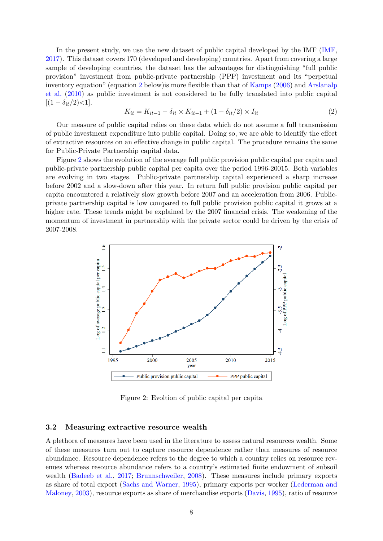In the present study, we use the new dataset of public capital developed by the IMF [\(IMF,](#page-22-12) [2017\)](#page-22-12). This dataset covers 170 (developed and developing) countries. Apart from covering a large sample of developing countries, the dataset has the advantages for distinguishing "full public provision" investment from public-private partnership (PPP) investment and its "perpetual inventory equation" (equation [2](#page-7-0) below) is more flexible than that of [Kamps](#page-22-11) [\(2006\)](#page-22-11) and Arslands [et al.](#page-21-12) [\(2010\)](#page-21-12) as public investment is not considered to be fully translated into public capital  $[(1 - \delta_{it}/2) < 1].$ 

<span id="page-7-0"></span>
$$
K_{it} = K_{it-1} - \delta_{it} \times K_{it-1} + (1 - \delta_{it}/2) \times I_{it}
$$
\n
$$
(2)
$$

Our measure of public capital relies on these data which do not assume a full transmission of public investment expenditure into public capital. Doing so, we are able to identify the effect of extractive resources on an effective change in public capital. The procedure remains the same for Public-Private Partnership capital data.

Figure [2](#page-7-1) shows the evolution of the average full public provision public capital per capita and public-private partnership public capital per capita over the period 1996-20015. Both variables are evolving in two stages. Public-private partnership capital experienced a sharp increase before 2002 and a slow-down after this year. In return full public provision public capital per capita encountered a relatively slow growth before 2007 and an acceleration from 2006. Publicprivate partnership capital is low compared to full public provision public capital it grows at a higher rate. These trends might be explained by the 2007 financial crisis. The weakening of the momentum of investment in partnership with the private sector could be driven by the crisis of 2007-2008.

<span id="page-7-1"></span>

Figure 2: Evoltion of public capital per capita

#### **3.2 Measuring extractive resource wealth**

A plethora of measures have been used in the literature to assess natural resources wealth. Some of these measures turn out to capture resource dependence rather than measures of resource abundance. Resource dependence refers to the degree to which a country relies on resource revenues whereas resource abundance refers to a country's estimated finite endowment of subsoil wealth [\(Badeeb et al.,](#page-21-13) [2017;](#page-21-13) [Brunnschweiler,](#page-21-14) [2008\)](#page-21-14). These measures include primary exports as share of total export [\(Sachs and Warner,](#page-23-0) [1995\)](#page-23-0), primary exports per worker [\(Lederman and](#page-23-10) [Maloney,](#page-23-10) [2003\)](#page-23-10), resource exports as share of merchandise exports [\(Davis,](#page-22-13) [1995\)](#page-22-13), ratio of resource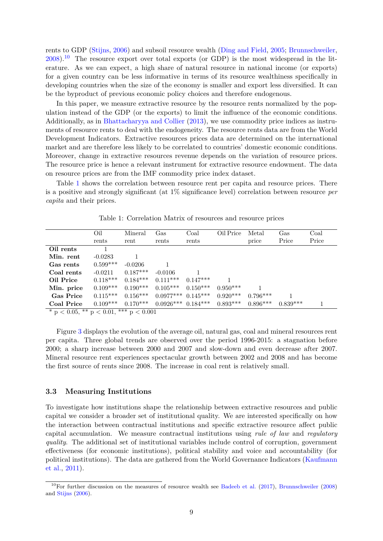rents to GDP [\(Stijns,](#page-23-2) [2006\)](#page-23-2) and subsoil resource wealth [\(Ding and Field,](#page-22-14) [2005;](#page-22-14) [Brunnschweiler,](#page-21-14)  $2008$ ).<sup>[10](#page-8-0)</sup> The resource export over total exports (or GDP) is the most widespread in the literature. As we can expect, a high share of natural resource in national income (or exports) for a given country can be less informative in terms of its resource wealthiness specifically in developing countries when the size of the economy is smaller and export less diversified. It can be the byproduct of previous economic policy choices and therefore endogenous.

In this paper, we measure extractive resource by the resource rents normalized by the population instead of the GDP (or the exports) to limit the influence of the economic conditions. Additionally, as in [Bhattacharyya and Collier](#page-21-1) [\(2013\)](#page-21-1), we use commodity price indices as instruments of resource rents to deal with the endogeneity. The resource rents data are from the World Development Indicators. Extractive resources prices data are determined on the international market and are therefore less likely to be correlated to countries' domestic economic conditions. Moreover, change in extractive resources revenue depends on the variation of resource prices. The resource price is hence a relevant instrument for extractive resource endowment. The data on resource prices are from the IMF commodity price index dataset.

Table [1](#page-8-1) shows the correlation between resource rent per capita and resource prices. There is a positive and strongly significant (at 1% significance level) correlation between resource *per capita* and their prices.

<span id="page-8-1"></span>

|                                                   | Oil        | Mineral    | Gas                    | Coal       | Oil Price  | Metal      | Gas        | Coal  |
|---------------------------------------------------|------------|------------|------------------------|------------|------------|------------|------------|-------|
|                                                   | rents      | rent       | rents                  | rents      |            | price      | Price      | Price |
| Oil rents                                         |            |            |                        |            |            |            |            |       |
| Min. rent                                         | $-0.0283$  |            |                        |            |            |            |            |       |
| Gas rents                                         | $0.599***$ | $-0.0206$  |                        |            |            |            |            |       |
| Coal rents                                        | $-0.0211$  | $0.187***$ | $-0.0106$              |            |            |            |            |       |
| Oil Price                                         | $0.118***$ | $0.184***$ | $0.111***$             | $0.147***$ |            |            |            |       |
| Min. price                                        | $0.109***$ | $0.190***$ | $0.105***$             | $0.150***$ | $0.950***$ |            |            |       |
| <b>Gas Price</b>                                  | $0.115***$ | $0.156***$ | $0.0977***$ $0.145***$ |            | $0.920***$ | $0.796***$ |            |       |
| Coal Price                                        | $0.109***$ | $0.170***$ | $0.0926***$ $0.184***$ |            | $0.893***$ | $0.896***$ | $0.839***$ |       |
| $* = 2005$ $*$ $* = 2001$ $*$ $*$ $*$ $* = 20001$ |            |            |                        |            |            |            |            |       |

Table 1: Correlation Matrix of resources and resource prices

 $p < 0.05$ , \*\*  $p < 0.01$ , \*\*\*  $p < 0.001$ 

Figure [3](#page-9-0) displays the evolution of the average oil, natural gas, coal and mineral resources rent per capita. Three global trends are observed over the period 1996-2015: a stagnation before 2000; a sharp increase between 2000 and 2007 and slow-down and even decrease after 2007. Mineral resource rent experiences spectacular growth between 2002 and 2008 and has become the first source of rents since 2008. The increase in coal rent is relatively small.

#### **3.3 Measuring Institutions**

To investigate how institutions shape the relationship between extractive resources and public capital we consider a broader set of institutional quality. We are interested specifically on how the interaction between contractual institutions and specific extractive resource affect public capital accumulation. We measure contractual institutions using *rule of law* and *regulatory quality*. The additional set of institutional variables include control of corruption, government effectiveness (for economic institutions), political stability and voice and accountability (for political institutions). The data are gathered from the World Governance Indicators [\(Kaufmann](#page-22-15) [et al.,](#page-22-15) [2011\)](#page-22-15).

<span id="page-8-0"></span><sup>&</sup>lt;sup>10</sup>For further discussion on the measures of resource wealth see [Badeeb et al.](#page-21-13)  $(2017)$ , [Brunnschweiler](#page-21-14)  $(2008)$ and [Stijns](#page-23-2) [\(2006\)](#page-23-2).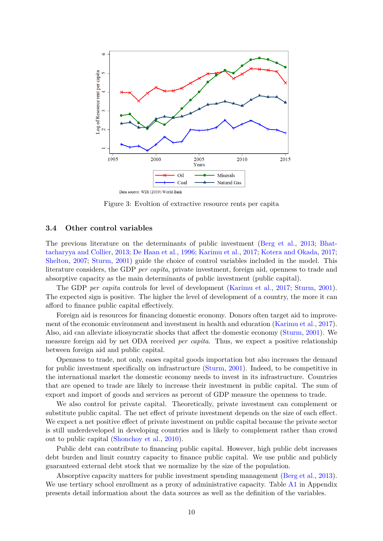<span id="page-9-0"></span>

Figure 3: Evoltion of extractive resource rents per capita

#### **3.4 Other control variables**

The previous literature on the determinants of public investment [\(Berg et al.,](#page-21-10) [2013;](#page-21-10) [Bhat](#page-21-1)[tacharyya and Collier,](#page-21-1) [2013;](#page-21-1) [De Haan et al.,](#page-22-16) [1996;](#page-22-16) [Karimu et al.,](#page-22-1) [2017;](#page-22-1) [Kotera and Okada,](#page-23-11) [2017;](#page-23-11) [Shelton,](#page-23-12) [2007;](#page-23-12) [Sturm,](#page-24-4) [2001\)](#page-24-4) guide the choice of control variables included in the model. This literature considers, the GDP *per capita*, private investment, foreign aid, openness to trade and absorptive capacity as the main determinants of public investment (public capital).

The GDP *per capita* controls for level of development [\(Karimu et al.,](#page-22-1) [2017;](#page-22-1) [Sturm,](#page-24-4) [2001\)](#page-24-4). The expected sign is positive. The higher the level of development of a country, the more it can afford to finance public capital effectively.

Foreign aid is resources for financing domestic economy. Donors often target aid to improvement of the economic environment and investment in health and education [\(Karimu et al.,](#page-22-1) [2017\)](#page-22-1). Also, aid can alleviate idiosyncratic shocks that affect the domestic economy [\(Sturm,](#page-24-4) [2001\)](#page-24-4). We measure foreign aid by net ODA received *per capita*. Thus, we expect a positive relationship between foreign aid and public capital.

Openness to trade, not only, eases capital goods importation but also increases the demand for public investment specifically on infrastructure [\(Sturm,](#page-24-4) [2001\)](#page-24-4). Indeed, to be competitive in the international market the domestic economy needs to invest in its infrastructure. Countries that are opened to trade are likely to increase their investment in public capital. The sum of export and import of goods and services as percent of GDP measure the openness to trade.

We also control for private capital. Theoretically, private investment can complement or substitute public capital. The net effect of private investment depends on the size of each effect. We expect a net positive effect of private investment on public capital because the private sector is still underdeveloped in developing countries and is likely to complement rather than crowd out to public capital [\(Shonchoy et al.,](#page-23-13) [2010\)](#page-23-13).

Public debt can contribute to financing public capital. However, high public debt increases debt burden and limit country capacity to finance public capital. We use public and publicly guaranteed external debt stock that we normalize by the size of the population.

Absorptive capacity matters for public investment spending management [\(Berg et al.,](#page-21-10) [2013\)](#page-21-10). We use tertiary school enrollment as a proxy of administrative capacity. Table [A1](#page-26-0) in Appendix presents detail information about the data sources as well as the definition of the variables.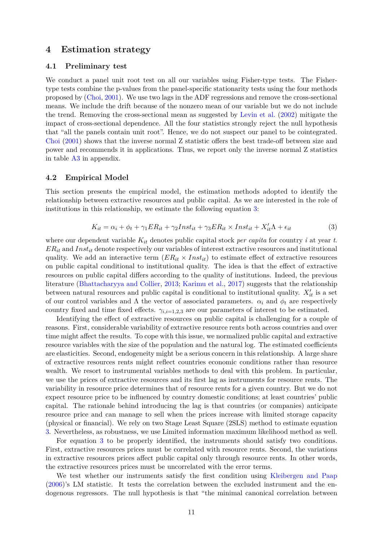## **4 Estimation strategy**

#### **4.1 Preliminary test**

We conduct a panel unit root test on all our variables using Fisher-type tests. The Fishertype tests combine the p-values from the panel-specific stationarity tests using the four methods proposed by [\(Choi,](#page-21-15) [2001\)](#page-21-15). We use two lags in the ADF regressions and remove the cross-sectional means. We include the drift because of the nonzero mean of our variable but we do not include the trend. Removing the cross-sectional mean as suggested by [Levin et al.](#page-23-14) [\(2002\)](#page-23-14) mitigate the impact of cross-sectional dependence. All the four statistics strongly reject the null hypothesis that "all the panels contain unit root". Hence, we do not suspect our panel to be cointegrated. [Choi](#page-21-15) [\(2001\)](#page-21-15) shows that the inverse normal Z statistic offers the best trade-off between size and power and recommends it in applications. Thus, we report only the inverse normal Z statistics in table [A3](#page-27-0) in appendix.

#### **4.2 Empirical Model**

<span id="page-10-0"></span>This section presents the empirical model, the estimation methods adopted to identify the relationship between extractive resources and public capital. As we are interested in the role of institutions in this relationship, we estimate the following equation [3:](#page-10-0)

$$
K_{it} = \alpha_i + \phi_t + \gamma_1 ER_{it} + \gamma_2 Inst_{it} + \gamma_3 ER_{it} \times Inst_{it} + X'_{it} \Lambda + \epsilon_{it}
$$
\n(3)

where our dependent variable *Kit* denotes public capital stock *per capita* for country *i* at year *t*. *ERit* and *Instit* denote respectively our variables of interest extractive resources and institutional quality. We add an interactive term  $(ER_{it} \times Inst_{it})$  to estimate effect of extractive resources on public capital conditional to institutional quality. The idea is that the effect of extractive resources on public capital differs according to the quality of institutions. Indeed, the previous literature [\(Bhattacharyya and Collier,](#page-21-1) [2013;](#page-21-1) [Karimu et al.,](#page-22-1) [2017\)](#page-22-1) suggests that the relationship between natural resources and public capital is conditional to institutional quality.  $X'_{it}$  is a set of our control variables and  $\Lambda$  the vector of associated parameters.  $\alpha_i$  and  $\phi_t$  are respectively country fixed and time fixed effects.  $\gamma_{i,i=1,2,3}$  are our parameters of interest to be estimated.

Identifying the effect of extractive resources on public capital is challenging for a couple of reasons. First, considerable variability of extractive resource rents both across countries and over time might affect the results. To cope with this issue, we normalized public capital and extractive resource variables with the size of the population and the natural log. The estimated coefficients are elasticities. Second, endogeneity might be a serious concern in this relationship. A large share of extractive resources rents might reflect countries economic conditions rather than resource wealth. We resort to instrumental variables methods to deal with this problem. In particular, we use the prices of extractive resources and its first lag as instruments for resource rents. The variability in resource price determines that of resource rents for a given country. But we do not expect resource price to be influenced by country domestic conditions; at least countries' public capital. The rationale behind introducing the lag is that countries (or companies) anticipate resource price and can manage to sell when the prices increase with limited storage capacity (physical or financial). We rely on two Stage Least Square (2SLS) method to estimate equation [3.](#page-10-0) Nevertheless, as robustness, we use Limited information maximum likelihood method as well.

For equation [3](#page-10-0) to be properly identified, the instruments should satisfy two conditions. First, extractive resources prices must be correlated with resource rents. Second, the variations in extractive resources prices affect public capital only through resource rents. In other words, the extractive resources prices must be uncorrelated with the error terms.

We test whether our instruments satisfy the first condition using [Kleibergen and Paap](#page-23-15) [\(2006\)](#page-23-15)'s LM statistic. It tests the correlation between the excluded instrument and the endogenous regressors. The null hypothesis is that "the minimal canonical correlation between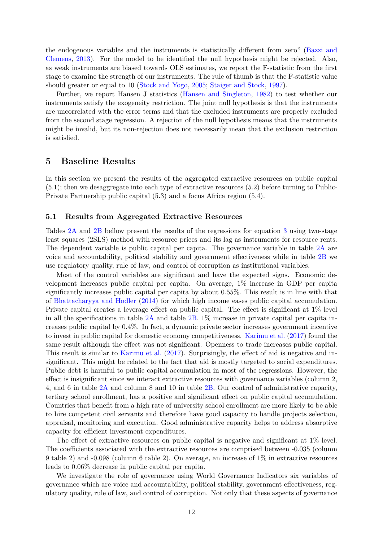the endogenous variables and the instruments is statistically different from zero" [\(Bazzi and](#page-21-16) [Clemens,](#page-21-16) [2013\)](#page-21-16). For the model to be identified the null hypothesis might be rejected. Also, as weak instruments are biased towards OLS estimates, we report the F-statistic from the first stage to examine the strength of our instruments. The rule of thumb is that the F-statistic value should greater or equal to 10 [\(Stock and Yogo,](#page-23-16) [2005;](#page-23-16) [Staiger and Stock,](#page-23-17) [1997\)](#page-23-17).

Further, we report Hansen J statistics [\(Hansen and Singleton,](#page-22-17) [1982\)](#page-22-17) to test whether our instruments satisfy the exogeneity restriction. The joint null hypothesis is that the instruments are uncorrelated with the error terms and that the excluded instruments are properly excluded from the second stage regression. A rejection of the null hypothesis means that the instruments might be invalid, but its non-rejection does not necessarily mean that the exclusion restriction is satisfied.

### **5 Baseline Results**

In this section we present the results of the aggregated extractive resources on public capital (5.1); then we desaggregate into each type of extractive resources (5.2) before turning to Public-Private Partnership public capital (5.3) and a focus Africa region (5.4).

#### **5.1 Results from Aggregated Extractive Resources**

Tables [2A](#page-12-0) and [2B](#page-13-0) bellow present the results of the regressions for equation [3](#page-10-0) using two-stage least squares (2SLS) method with resource prices and its lag as instruments for resource rents. The dependent variable is public capital per capita. The governance variable in table [2A](#page-12-0) are voice and accountability, political stability and government effectiveness while in table [2B](#page-13-0) we use regulatory quality, rule of law, and control of corruption as institutional variables.

Most of the control variables are significant and have the expected signs. Economic development increases public capital per capita. On average, 1% increase in GDP per capita significantly increases public capital per capita by about 0.55%. This result is in line with that of [Bhattacharyya and Hodler](#page-21-6) [\(2014\)](#page-21-6) for which high income eases public capital accumulation. Private capital creates a leverage effect on public capital. The effect is significant at 1% level in all the specifications in table  $2A$  and table  $2B$ . 1% increase in private capital per capita increases public capital by 0.4%. In fact, a dynamic private sector increases government incentive to invest in public capital for domestic economy competitiveness. [Karimu et al.](#page-22-1) [\(2017\)](#page-22-1) found the same result although the effect was not significant. Openness to trade increases public capital. This result is similar to [Karimu et al.](#page-22-1) [\(2017\)](#page-22-1). Surprisingly, the effect of aid is negative and insignificant. This might be related to the fact that aid is mostly targeted to social expenditures. Public debt is harmful to public capital accumulation in most of the regressions. However, the effect is insignificant since we interact extractive resources with governance variables (column 2, 4, and 6 in table [2A](#page-12-0) and column 8 and 10 in table [2B.](#page-13-0) Our control of administrative capacity, tertiary school enrollment, has a positive and significant effect on public capital accumulation. Countries that benefit from a high rate of university school enrollment are more likely to be able to hire competent civil servants and therefore have good capacity to handle projects selection, appraisal, monitoring and execution. Good administrative capacity helps to address absorptive capacity for efficient investment expenditures.

The effect of extractive resources on public capital is negative and significant at 1% level. The coefficients associated with the extractive resources are comprised between -0.035 (column 9 table 2) and -0.098 (column 6 table 2). On average, an increase of 1% in extractive resources leads to 0.06% decrease in public capital per capita.

We investigate the role of governance using World Governance Indicators six variables of governance which are voice and accountability, political stability, government effectiveness, regulatory quality, rule of law, and control of corruption. Not only that these aspects of governance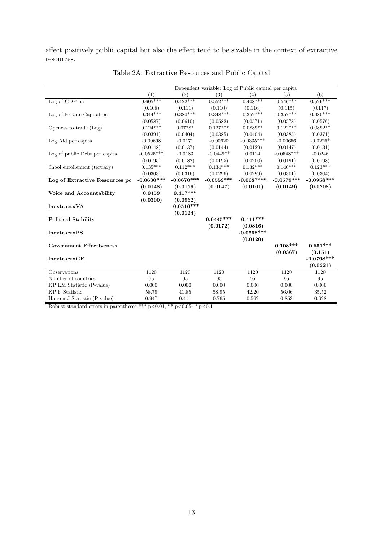affect positively public capital but also the effect tend to be sizable in the context of extractive resources.

<span id="page-12-0"></span>

|                                 |              |              | Dependent variable: Log of Public capital per capital |              |              |              |
|---------------------------------|--------------|--------------|-------------------------------------------------------|--------------|--------------|--------------|
|                                 | (1)          | (2)          | (3)                                                   | (4)          | (5)          | (6)          |
| Log of GDP pc                   | $0.605***$   | $0.422***$   | $0.552***$                                            | $0.408***$   | $0.546***$   | $0.526***$   |
|                                 | (0.108)      | (0.111)      | (0.110)                                               | (0.116)      | (0.115)      | (0.117)      |
| Log of Private Capital pc       | $0.344***$   | $0.380***$   | $0.348***$                                            | $0.352***$   | $0.357***$   | $0.380***$   |
|                                 | (0.0587)     | (0.0610)     | (0.0582)                                              | (0.0571)     | (0.0578)     | (0.0576)     |
| Openess to trade (Log)          | $0.124***$   | $0.0728*$    | $0.127***$                                            | $0.0889**$   | $0.122***$   | $0.0892**$   |
|                                 | (0.0391)     | (0.0404)     | (0.0385)                                              | (0.0404)     | (0.0385)     | (0.0371)     |
| Log Aid per capita              | $-0.00698$   | $-0.0171$    | $-0.00620$                                            | $-0.0335***$ | $-0.00656$   | $-0.0226*$   |
|                                 | (0.0148)     | (0.0137)     | (0.0144)                                              | (0.0129)     | (0.0147)     | (0.0131)     |
| Log of public Debt per capita   | $-0.0525***$ | $-0.0183$    | $-0.0449**$                                           | 0.0114       | $-0.0548***$ | $-0.0246$    |
|                                 | (0.0195)     | (0.0182)     | (0.0195)                                              | (0.0200)     | (0.0191)     | (0.0198)     |
| Shool enrollement (tertiary)    | $0.135***$   | $0.112***$   | $0.134***$                                            | $0.132***$   | $0.140***$   | $0.123***$   |
|                                 | (0.0303)     | (0.0316)     | (0.0296)                                              | (0.0299)     | (0.0301)     | (0.0304)     |
| Log of Extractive Resources pc  | $-0.0630***$ | $-0.0670***$ | $-0.0559***$                                          | $-0.0687***$ | $-0.0579***$ | $-0.0958***$ |
|                                 | (0.0148)     | (0.0159)     | (0.0147)                                              | (0.0161)     | (0.0149)     | (0.0208)     |
| Voice and Accountability        | 0.0459       | $0.417***$   |                                                       |              |              |              |
|                                 | (0.0300)     | (0.0962)     |                                                       |              |              |              |
| lnextractxVA                    |              | $-0.0516***$ |                                                       |              |              |              |
|                                 |              | (0.0124)     |                                                       |              |              |              |
| <b>Political Stability</b>      |              |              | $0.0445***$                                           | $0.411***$   |              |              |
|                                 |              |              | (0.0172)                                              | (0.0816)     |              |              |
| lnextractxPS                    |              |              |                                                       | $-0.0558***$ |              |              |
|                                 |              |              |                                                       | (0.0120)     |              |              |
| <b>Government Effectiveness</b> |              |              |                                                       |              | $0.108***$   | $0.651***$   |
|                                 |              |              |                                                       |              | (0.0367)     | (0.151)      |
| lnextractxGE                    |              |              |                                                       |              |              | $-0.0798***$ |
|                                 |              |              |                                                       |              |              | (0.0221)     |
| Observations                    | 1120         | 1120         | 1120                                                  | 1120         | 1120         | 1120         |
| Number of countries             | 95           | 95           | 95                                                    | 95           | 95           | 95           |
| KP LM Statistic (P-value)       | 0.000        | 0.000        | 0.000                                                 | 0.000        | 0.000        | 0.000        |
| <b>KP</b> F Statistic           | 58.79        | 41.85        | 58.95                                                 | 42.20        | 56.06        | 35.52        |
| Hansen J-Statistic (P-value)    | 0.947        | 0.411        | 0.765                                                 | 0.562        | 0.853        | 0.928        |

Table 2A: Extractive Resources and Public Capital

Robust standard errors in parentheses \*\*\*  $p<0.01$ , \*\*  $p<0.05$ , \*  $p<0.1$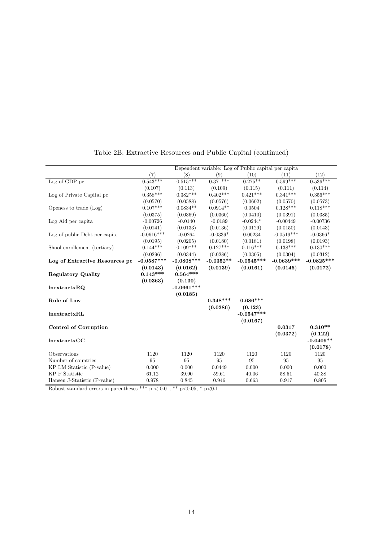<span id="page-13-0"></span>

|                                |              |               |             | Dependent variable: Log of Public capital per capital |              |              |
|--------------------------------|--------------|---------------|-------------|-------------------------------------------------------|--------------|--------------|
|                                | (7)          | (8)           | (9)         | (10)                                                  | (11)         | (12)         |
| Log of GDP pc                  | $0.543***$   | $0.515***$    | $0.371***$  | $0.275***$                                            | $0.599***$   | $0.536***$   |
|                                | (0.107)      | (0.113)       | (0.109)     | (0.115)                                               | (0.111)      | (0.114)      |
| Log of Private Capital pc      | $0.358***$   | $0.382***$    | $0.402***$  | $0.421***$                                            | $0.341***$   | $0.356***$   |
|                                | (0.0570)     | (0.0588)      | (0.0576)    | (0.0602)                                              | (0.0570)     | (0.0573)     |
| Openess to trade (Log)         | $0.107***$   | $0.0834**$    | $0.0914**$  | 0.0504                                                | $0.128***$   | $0.118***$   |
|                                | (0.0375)     | (0.0369)      | (0.0360)    | (0.0410)                                              | (0.0391)     | (0.0385)     |
| Log Aid per capita             | $-0.00726$   | $-0.0140$     | $-0.0189$   | $-0.0244*$                                            | $-0.00449$   | $-0.00736$   |
|                                | (0.0141)     | (0.0133)      | (0.0136)    | (0.0129)                                              | (0.0150)     | (0.0143)     |
| Log of public Debt per capita  | $-0.0616***$ | $-0.0264$     | $-0.0339*$  | 0.00234                                               | $-0.0519***$ | $-0.0366*$   |
|                                | (0.0195)     | (0.0205)      | (0.0180)    | (0.0181)                                              | (0.0198)     | (0.0193)     |
| Shool enrollement (tertiary)   | $0.144***$   | $0.109***$    | $0.127***$  | $0.116***$                                            | $0.138***$   | $0.130***$   |
|                                | (0.0296)     | (0.0344)      | (0.0286)    | (0.0305)                                              | (0.0304)     | (0.0312)     |
| Log of Extractive Resources pc | $-0.0587***$ | $-0.0808$ *** | $-0.0352**$ | $-0.0545***$                                          | $-0.0639***$ | $-0.0825***$ |
|                                | (0.0143)     | (0.0162)      | (0.0139)    | (0.0161)                                              | (0.0146)     | (0.0172)     |
| <b>Regulatory Quality</b>      | $0.143***$   | $0.564***$    |             |                                                       |              |              |
|                                | (0.0363)     | (0.130)       |             |                                                       |              |              |
| lnextractxRQ                   |              | $-0.0661***$  |             |                                                       |              |              |
|                                |              | (0.0185)      |             |                                                       |              |              |
| Rule of Law                    |              |               | $0.348***$  | $0.686***$                                            |              |              |
|                                |              |               | (0.0386)    | (0.123)                                               |              |              |
| lnextractxRL                   |              |               |             | $-0.0547***$                                          |              |              |
|                                |              |               |             | (0.0167)                                              |              |              |
| <b>Control of Corruption</b>   |              |               |             |                                                       | 0.0317       | $0.310**$    |
|                                |              |               |             |                                                       | (0.0372)     | (0.122)      |
| lnextractxCC                   |              |               |             |                                                       |              | $-0.0409**$  |
|                                |              |               |             |                                                       |              | (0.0178)     |
| Observations                   | 1120         | 1120          | 1120        | 1120                                                  | 1120         | 1120         |
| Number of countries            | 95           | 95            | 95          | 95                                                    | 95           | 95           |
| KP LM Statistic (P-value)      | 0.000        | 0.000         | 0.0449      | 0.000                                                 | 0.000        | 0.000        |
| <b>KP F Statistic</b>          | 61.12        | 39.90         | 59.61       | 40.06                                                 | 58.51        | 40.38        |
| Hansen J-Statistic (P-value)   | 0.978        | 0.845         | 0.946       | 0.663                                                 | 0.917        | 0.805        |

Table 2B: Extractive Resources and Public Capital (continued)

Robust standard errors in parentheses \*\*\* p < 0.01, \*\* p<0.05, \* p<0.1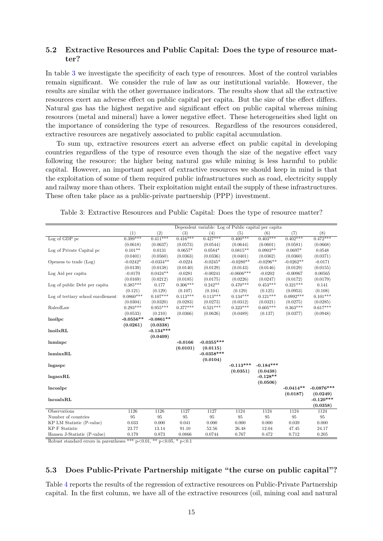### **5.2 Extractive Resources and Public Capital: Does the type of resource matter?**

In table [3](#page-14-0) we investigate the specificity of each type of resources. Most of the control variables remain significant. We consider the rule of law as our institutional variable. However, the results are similar with the other governance indicators. The results show that all the extractive resources exert an adverse effect on public capital per capita. But the size of the effect differs. Natural gas has the highest negative and significant effect on public capital whereas mining resources (metal and mineral) have a lower negative effect. These heterogeneities shed light on the importance of considering the type of resources. Regardless of the resources considered, extractive resources are negatively associated to public capital accumulation.

To sum up, extractive resources exert an adverse effect on public capital in developing countries regardless of the type of resource even though the size of the negative effect vary following the resource; the higher being natural gas while mining is less harmful to public capital. However, an important aspect of extractive resources we should keep in mind is that the exploitation of some of them required public infrastructures such as road, electricity supply and railway more than others. Their exploitation might entail the supply of these infrastructures. These often take place as a public-private partnership (PPP) investment.

|                                    |             |             |            | Dependent variable: Log of Public capital per capital |              |             |             |              |
|------------------------------------|-------------|-------------|------------|-------------------------------------------------------|--------------|-------------|-------------|--------------|
|                                    | (1)         | (2)         | (3)        | (4)                                                   | (5)          | (6)         | (7)         | (8)          |
| $Log of GDP$ pc                    | $0.399***$  | $0.411***$  | $0.416***$ | $0.427***$                                            | $0.400***$   | $0.403***$  | $0.402***$  | $0.472***$   |
|                                    | (0.0618)    | (0.0637)    | (0.0573)   | (0.0544)                                              | (0.0644)     | (0.0601)    | (0.0581)    | (0.0668)     |
| Log of Private Capital pc          | $0.101**$   | 0.0131      | $0.0657*$  | $0.0584*$                                             | $0.0815**$   | $0.0903**$  | $0.0697*$   | 0.0548       |
|                                    | (0.0401)    | (0.0560)    | (0.0363)   | (0.0336)                                              | (0.0401)     | (0.0362)    | (0.0360)    | (0.0371)     |
| Openess to trade (Log)             | $-0.0242*$  | $-0.0334**$ | $-0.0224$  | $-0.0245*$                                            | $-0.0280**$  | $-0.0296**$ | $-0.0262**$ | $-0.0171$    |
|                                    | (0.0139)    | (0.0138)    | (0.0140)   | (0.0129)                                              | (0.0143)     | (0.0146)    | (0.0129)    | (0.0155)     |
| Log Aid per capita                 | $-0.0170$   | $0.0424**$  | $-0.0281$  | $-0.00241$                                            | $-0.0606***$ | $-0.0202$   | $-0.00967$  | 0.00565      |
|                                    | (0.0169)    | (0.0212)    | (0.0185)   | (0.0175)                                              | (0.0226)     | (0.0247)    | (0.0172)    | (0.0179)     |
| Log of public Debt per capita      | $0.385***$  | 0.177       | $0.306***$ | $0.242**$                                             | $0.470***$   | $0.453***$  | $0.321***$  | 0.141        |
|                                    | (0.121)     | (0.129)     | (0.107)    | (0.104)                                               | (0.129)      | (0.125)     | (0.0953)    | (0.108)      |
| Log of tertiary school enrollement | $0.0860***$ | $0.107***$  | $0.113***$ | $0.113***$                                            | $0.134***$   | $0.121***$  | $0.0992***$ | $0.101***$   |
|                                    | (0.0304)    | (0.0320)    | (0.0283)   | (0.0273)                                              | (0.0312)     | (0.0321)    | (0.0275)    | (0.0285)     |
| RuleofLaw                          | $0.293***$  | $0.955***$  | $0.377***$ | $0.521***$                                            | $0.323***$   | $0.605***$  | $0.363***$  | $0.617***$   |
|                                    | (0.0533)    | (0.210)     | (0.0366)   | (0.0626)                                              | (0.0489)     | (0.137)     | (0.0377)    | (0.0948)     |
| lnoilpc                            | $-0.0556**$ | $-0.0861**$ |            |                                                       |              |             |             |              |
|                                    | (0.0261)    | (0.0338)    |            |                                                       |              |             |             |              |
| lnoilxRL                           |             | $-0.134***$ |            |                                                       |              |             |             |              |
|                                    |             | (0.0409)    |            |                                                       |              |             |             |              |
| lnminpc                            |             |             | $-0.0166$  | $-0.0355***$                                          |              |             |             |              |
|                                    |             |             | (0.0101)   | (0.0115)                                              |              |             |             |              |
| lmminxRL                           |             |             |            | $-0.0358***$                                          |              |             |             |              |
|                                    |             |             |            | (0.0104)                                              |              |             |             |              |
| lngaspc                            |             |             |            |                                                       | $-0.113***$  | $-0.184***$ |             |              |
|                                    |             |             |            |                                                       | (0.0351)     | (0.0438)    |             |              |
| IngasxRL                           |             |             |            |                                                       |              | $-0.128**$  |             |              |
|                                    |             |             |            |                                                       |              | (0.0506)    |             |              |
| lncoalpc                           |             |             |            |                                                       |              |             | $-0.0414**$ | $-0.0876***$ |
|                                    |             |             |            |                                                       |              |             | (0.0187)    | (0.0249)     |
| lncoalxRL                          |             |             |            |                                                       |              |             |             | $-0.120***$  |
|                                    |             |             |            |                                                       |              |             |             | (0.0358)     |
| Observations                       | 1126        | 1126        | 1127       | 1127                                                  | 1124         | 1124        | 1124        | 1124         |
| Number of countries                | 95          | 95          | 95         | 95                                                    | 95           | 95          | 95          | 95           |
| KP LM Statistic (P-value)          | 0.033       | 0.000       | 0.041      | 0.000                                                 | 0.000        | 0.000       | 0.039       | 0.000        |
| <b>KP F Statistic</b>              | 23.77       | 13.14       | 91.10      | 52.56                                                 | 26.48        | 12.04       | 47.45       | 24.17        |
| Hansen J-Statistic (P-value)       | 0.179       | 0.873       | 0.0866     | 0.0744                                                | 0.767        | 0.472       | 0.712       | 0.205        |

<span id="page-14-0"></span>Table 3: Extractive Resources and Public Capital: Does the type of resource matter?

Robust standard errors in parentheses \*\*\*  $p<0.01$ , \*\*  $p<0.05$ , \*  $p<0.1$ 

### **5.3 Does Public-Private Partnership mitigate "the curse on public capital"?**

Table [4](#page-15-0) reports the results of the regression of extractive resources on Public-Private Partnership capital. In the first column, we have all of the extractive resources (oil, mining coal and natural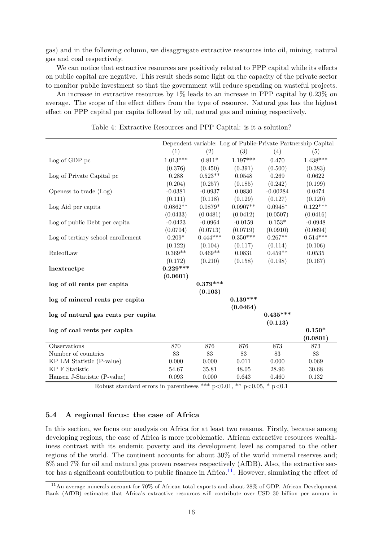gas) and in the following column, we disaggregate extractive resources into oil, mining, natural gas and coal respectively.

We can notice that extractive resources are positively related to PPP capital while its effects on public capital are negative. This result sheds some light on the capacity of the private sector to monitor public investment so that the government will reduce spending on wasteful projects.

An increase in extractive resources by 1% leads to an increase in PPP capital by 0.23% on average. The scope of the effect differs from the type of resource. Natural gas has the highest effect on PPP capital per capita followed by oil, natural gas and mining respectively.

<span id="page-15-0"></span>

|                                     |            |            |            |            | Dependent variable: Log of Public-Private Partnership Capital |
|-------------------------------------|------------|------------|------------|------------|---------------------------------------------------------------|
|                                     | (1)        | (2)        | (3)        | (4)        | (5)                                                           |
| Log of GDP pc                       | $1.013***$ | $0.811*$   | $1.197***$ | 0.470      | $1.438***$                                                    |
|                                     | (0.376)    | (0.450)    | (0.391)    | (0.500)    | (0.383)                                                       |
| Log of Private Capital pc           | 0.288      | $0.523**$  | 0.0548     | 0.269      | 0.0622                                                        |
|                                     | (0.204)    | (0.257)    | (0.185)    | (0.242)    | (0.199)                                                       |
| Openess to trade (Log)              | $-0.0381$  | $-0.0937$  | 0.0830     | $-0.00284$ | 0.0474                                                        |
|                                     | (0.111)    | (0.118)    | (0.129)    | (0.127)    | (0.120)                                                       |
| Log Aid per capita                  | $0.0862**$ | $0.0879*$  | $0.0907**$ | $0.0948*$  | $0.122***$                                                    |
|                                     | (0.0433)   | (0.0481)   | (0.0412)   | (0.0507)   | (0.0416)                                                      |
| Log of public Debt per capita       | $-0.0423$  | $-0.0964$  | $-0.0159$  | $0.153*$   | $-0.0948$                                                     |
|                                     | (0.0704)   | (0.0713)   | (0.0719)   | (0.0910)   | (0.0694)                                                      |
| Log of tertiary school enrollement  | $0.209*$   | $0.444***$ | $0.350***$ | $0.267**$  | $0.514***$                                                    |
|                                     | (0.122)    | (0.104)    | (0.117)    | (0.114)    | (0.106)                                                       |
| RuleofLaw                           | $0.369**$  | $0.469**$  | 0.0831     | $0.459**$  | 0.0535                                                        |
|                                     | (0.172)    | (0.210)    | (0.158)    | (0.198)    | (0.167)                                                       |
| lnextractpc                         | $0.229***$ |            |            |            |                                                               |
|                                     | (0.0601)   |            |            |            |                                                               |
| log of oil rents per capita         |            | $0.379***$ |            |            |                                                               |
|                                     |            | (0.103)    |            |            |                                                               |
| log of mineral rents per capita     |            |            | $0.139***$ |            |                                                               |
|                                     |            |            | (0.0464)   |            |                                                               |
| log of natural gas rents per capita |            |            |            | $0.435***$ |                                                               |
|                                     |            |            |            | (0.113)    |                                                               |
| log of coal rents per capita        |            |            |            |            | $0.150*$                                                      |
|                                     |            |            |            |            | (0.0801)                                                      |
| Observations                        | 870        | 876        | 876        | 873        | 873                                                           |
| Number of countries                 | 83         | 83         | 83         | 83         | 83                                                            |
| KP LM Statistic (P-value)           | 0.000      | 0.000      | 0.011      | 0.000      | 0.069                                                         |
| <b>KP F Statistic</b>               | 54.67      | 35.81      | 48.05      | 28.96      | 30.68                                                         |
| Hansen J-Statistic (P-value)        | 0.093      | 0.000      | 0.643      | 0.460      | $0.132\,$                                                     |

Table 4: Extractive Resources and PPP Capital: is it a solution?

Robust standard errors in parentheses \*\*\*  $p<0.01$ , \*\*  $p<0.05$ , \*  $p<0.1$ 

### **5.4 A regional focus: the case of Africa**

In this section, we focus our analysis on Africa for at least two reasons. Firstly, because among developing regions, the case of Africa is more problematic. African extractive resources wealthiness contrast with its endemic poverty and its development level as compared to the other regions of the world. The continent accounts for about 30% of the world mineral reserves and; 8% and 7% for oil and natural gas proven reserves respectively (AfDB). Also, the extractive sec-tor has a significant contribution to public finance in Africa.<sup>[11](#page-15-1)</sup>. However, simulating the effect of

<span id="page-15-1"></span><sup>&</sup>lt;sup>11</sup>An average minerals account for 70% of African total exports and about 28% of GDP. African Development Bank (AfDB) estimates that Africa's extractive resources will contribute over USD 30 billion per annum in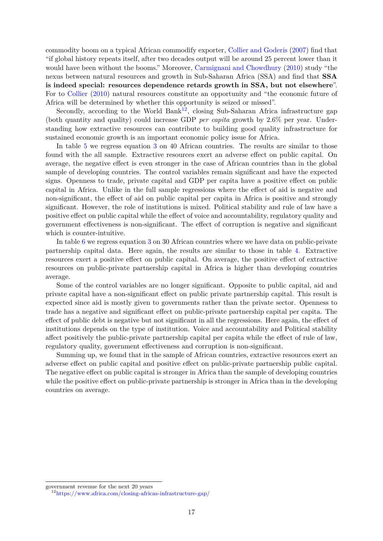commodity boom on a typical African commodify exporter, [Collier and Goderis](#page-22-18) [\(2007\)](#page-22-18) find that "if global history repeats itself, after two decades output will be around 25 percent lower than it would have been without the booms." Moreover, [Carmignani and Chowdhury](#page-21-17) [\(2010\)](#page-21-17) study "the nexus between natural resources and growth in Sub-Saharan Africa (SSA) and find that **SSA is indeed special: resources dependence retards growth in SSA, but not elsewhere**". For to [Collier](#page-21-18) [\(2010\)](#page-21-18) natural resources constitute an opportunity and "the economic future of Africa will be determined by whether this opportunity is seized or missed".

Secondly, according to the World Bank<sup>[12](#page-16-0)</sup>, closing Sub-Saharan Africa infrastructure gap (both quantity and quality) could increase GDP *per capita* growth by 2.6% per year. Understanding how extractive resources can contribute to building good quality infrastructure for sustained economic growth is an important economic policy issue for Africa.

In table [5](#page-17-0) we regress equation [3](#page-10-0) on 40 African countries. The results are similar to those found with the all sample. Extractive resources exert an adverse effect on public capital. On average, the negative effect is even stronger in the case of African countries than in the global sample of developing countries. The control variables remain significant and have the expected signs. Openness to trade, private capital and GDP per capita have a positive effect on public capital in Africa. Unlike in the full sample regressions where the effect of aid is negative and non-significant, the effect of aid on public capital per capita in Africa is positive and strongly significant. However, the role of institutions is mixed. Political stability and rule of law have a positive effect on public capital while the effect of voice and accountability, regulatory quality and government effectiveness is non-significant. The effect of corruption is negative and significant which is counter-intuitive.

In table [6](#page-18-0) we regress equation [3](#page-10-0) on 30 African countries where we have data on public-private partnership capital data. Here again, the results are similar to those in table [4.](#page-15-0) Extractive resources exert a positive effect on public capital. On average, the positive effect of extractive resources on public-private partnership capital in Africa is higher than developing countries average.

Some of the control variables are no longer significant. Opposite to public capital, aid and private capital have a non-significant effect on public private partnership capital. This result is expected since aid is mostly given to governments rather than the private sector. Openness to trade has a negative and significant effect on public-private partnership capital per capita. The effect of public debt is negative but not significant in all the regressions. Here again, the effect of institutions depends on the type of institution. Voice and accountability and Political stability affect positively the public-private partnership capital per capita while the effect of rule of law, regulatory quality, government effectiveness and corruption is non-significant.

Summing up, we found that in the sample of African countries, extractive resources exert an adverse effect on public capital and positive effect on public-private partnership public capital. The negative effect on public capital is stronger in Africa than the sample of developing countries while the positive effect on public-private partnership is stronger in Africa than in the developing countries on average.

government revenue for the next 20 years

<span id="page-16-0"></span><sup>12</sup><https://www.africa.com/closing-africas-infrastructure-gap/>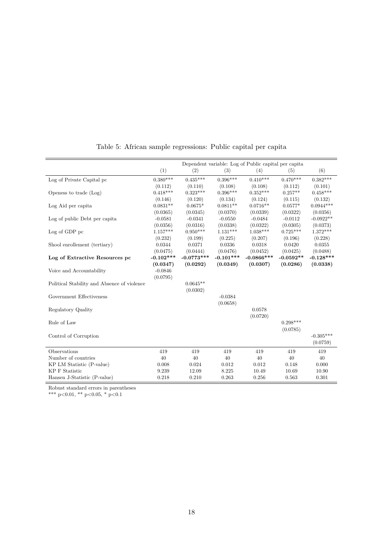<span id="page-17-0"></span>

|                                             |             |              |             | Dependent variable: Log of Public capital per capital |             |             |
|---------------------------------------------|-------------|--------------|-------------|-------------------------------------------------------|-------------|-------------|
|                                             | (1)         | (2)          | (3)         | (4)                                                   | (5)         | (6)         |
| Log of Private Capital pc                   | $0.380***$  | $0.435***$   | $0.396***$  | $0.410***$                                            | $0.470***$  | $0.382***$  |
|                                             | (0.112)     | (0.110)      | (0.108)     | (0.108)                                               | (0.112)     | (0.101)     |
| Openess to trade (Log)                      | $0.418***$  | $0.323***$   | $0.396***$  | $0.352***$                                            | $0.257**$   | $0.458***$  |
|                                             | (0.146)     | (0.120)      | (0.134)     | (0.124)                                               | (0.115)     | (0.132)     |
| Log Aid per capita                          | $0.0831**$  | $0.0675*$    | $0.0811**$  | $0.0716**$                                            | $0.0577*$   | $0.0944***$ |
|                                             | (0.0365)    | (0.0345)     | (0.0370)    | (0.0339)                                              | (0.0322)    | (0.0356)    |
| Log of public Debt per capita               | $-0.0581$   | $-0.0341$    | $-0.0550$   | $-0.0484$                                             | $-0.0112$   | $-0.0922**$ |
|                                             | (0.0356)    | (0.0316)     | (0.0338)    | (0.0322)                                              | (0.0305)    | (0.0373)    |
| Log of GDP pc                               | $1.157***$  | $0.950***$   | $1.131***$  | $1.038***$                                            | $0.725***$  | $1.372***$  |
|                                             | (0.232)     | (0.199)      | (0.225)     | (0.207)                                               | (0.196)     | (0.228)     |
| Shool enrollement (tertiary)                | 0.0344      | 0.0371       | 0.0336      | 0.0318                                                | 0.0420      | 0.0355      |
|                                             | (0.0475)    | (0.0444)     | (0.0476)    | (0.0452)                                              | (0.0425)    | (0.0488)    |
| Log of Extractive Resources pc              | $-0.102***$ | $-0.0773***$ | $-0.101***$ | $-0.0866***$                                          | $-0.0592**$ | $-0.128***$ |
|                                             | (0.0347)    | (0.0292)     | (0.0349)    | (0.0307)                                              | (0.0286)    | (0.0338)    |
| Voice and Accountability                    | $-0.0846$   |              |             |                                                       |             |             |
|                                             | (0.0795)    |              |             |                                                       |             |             |
| Political Stability and Absence of violence |             | $0.0645**$   |             |                                                       |             |             |
|                                             |             | (0.0302)     |             |                                                       |             |             |
| Government Effectiveness                    |             |              | $-0.0384$   |                                                       |             |             |
|                                             |             |              | (0.0658)    |                                                       |             |             |
| Regulatory Quality                          |             |              |             | 0.0578                                                |             |             |
|                                             |             |              |             | (0.0720)                                              |             |             |
| Rule of Law                                 |             |              |             |                                                       | $0.298***$  |             |
|                                             |             |              |             |                                                       | (0.0785)    |             |
| Control of Corruption                       |             |              |             |                                                       |             | $-0.305***$ |
|                                             |             |              |             |                                                       |             | (0.0759)    |
| Observations                                | 419         | 419          | 419         | 419                                                   | 419         | 419         |
| Number of countries                         | 40          | 40           | 40          | 40                                                    | 40          | 40          |
| KP LM Statistic (P-value)                   | 0.008       | 0.024        | 0.012       | 0.012                                                 | 0.148       | 0.000       |
| <b>KP F Statistic</b>                       | 9.239       | 12.09        | 8.225       | 10.49                                                 | 10.69       | 10.90       |
| Hansen J-Statistic (P-value)                | 0.218       | 0.210        | 0.263       | 0.256                                                 | 0.563       | 0.301       |

Table 5: African sample regressions: Public capital per capita

Robust standard errors in parentheses

\*\*\* p<0.01, \*\* p<0.05, \* p<0.1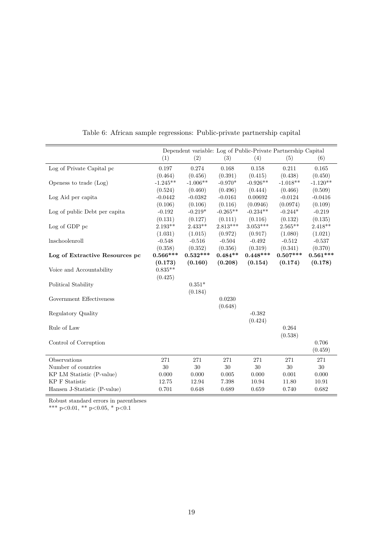<span id="page-18-0"></span>

|                                |            |            |            |            | Dependent variable: Log of Public-Private Partnership Capital |            |
|--------------------------------|------------|------------|------------|------------|---------------------------------------------------------------|------------|
|                                | (1)        | (2)        | (3)        | (4)        | (5)                                                           | (6)        |
| Log of Private Capital pc      | 0.197      | 0.274      | 0.168      | 0.158      | 0.211                                                         | 0.165      |
|                                | (0.464)    | (0.456)    | (0.391)    | (0.415)    | (0.438)                                                       | (0.450)    |
| Openess to trade (Log)         | $-1.245**$ | $-1.006**$ | $-0.970*$  | $-0.926**$ | $-1.018**$                                                    | $-1.120**$ |
|                                | (0.524)    | (0.460)    | (0.496)    | (0.444)    | (0.466)                                                       | (0.509)    |
| Log Aid per capita             | $-0.0442$  | $-0.0382$  | $-0.0161$  | 0.00692    | $-0.0124$                                                     | $-0.0416$  |
|                                | (0.106)    | (0.106)    | (0.116)    | (0.0946)   | (0.0974)                                                      | (0.109)    |
| Log of public Debt per capita  | $-0.192$   | $-0.219*$  | $-0.265**$ | $-0.234**$ | $-0.244*$                                                     | $-0.219$   |
|                                | (0.131)    | (0.127)    | (0.111)    | (0.116)    | (0.132)                                                       | (0.135)    |
| Log of GDP pc                  | $2.193**$  | $2.433**$  | $2.813***$ | $3.053***$ | $2.565**$                                                     | $2.418**$  |
|                                | (1.031)    | (1.015)    | (0.972)    | (0.917)    | (1.080)                                                       | (1.021)    |
| lnschoolenroll                 | $-0.548$   | $-0.516$   | $-0.504$   | $-0.492$   | $-0.512$                                                      | $-0.537$   |
|                                | (0.358)    | (0.352)    | (0.356)    | (0.319)    | (0.341)                                                       | (0.370)    |
| Log of Extractive Resources pc | $0.566***$ | $0.532***$ | $0.484**$  | $0.448***$ | $0.507***$                                                    | $0.561***$ |
|                                | (0.173)    | (0.160)    | (0.208)    | (0.154)    | (0.174)                                                       | (0.178)    |
| Voice and Accountability       | $0.835**$  |            |            |            |                                                               |            |
|                                | (0.425)    |            |            |            |                                                               |            |
| Political Stability            |            | $0.351*$   |            |            |                                                               |            |
|                                |            | (0.184)    |            |            |                                                               |            |
| Government Effectiveness       |            |            | 0.0230     |            |                                                               |            |
|                                |            |            | (0.648)    |            |                                                               |            |
| Regulatory Quality             |            |            |            | $-0.382$   |                                                               |            |
|                                |            |            |            | (0.424)    |                                                               |            |
| Rule of Law                    |            |            |            |            | 0.264                                                         |            |
|                                |            |            |            |            | (0.538)                                                       |            |
| Control of Corruption          |            |            |            |            |                                                               | 0.706      |
|                                |            |            |            |            |                                                               | (0.459)    |
| Observations                   | 271        | 271        | 271        | 271        | 271                                                           | 271        |
| Number of countries            | $30\,$     | 30         | 30         | $30\,$     | $30\,$                                                        | 30         |
| KP LM Statistic (P-value)      | 0.000      | 0.000      | 0.005      | 0.000      | 0.001                                                         | 0.000      |
| <b>KP F Statistic</b>          | 12.75      | 12.94      | 7.398      | 10.94      | 11.80                                                         | 10.91      |
| Hansen J-Statistic (P-value)   | 0.701      | 0.648      | 0.689      | 0.659      | 0.740                                                         | 0.682      |

Table 6: African sample regressions: Public-private partnership capital

Robust standard errors in parentheses

\*\*\* p<0.01, \*\* p<0.05, \* p<0.1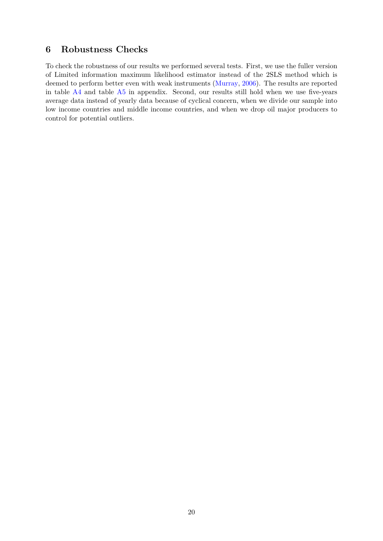# **6 Robustness Checks**

To check the robustness of our results we performed several tests. First, we use the fuller version of Limited information maximum likelihood estimator instead of the 2SLS method which is deemed to perform better even with weak instruments [\(Murray,](#page-23-18) [2006\)](#page-23-18). The results are reported in table  $A4$  and table  $A5$  in appendix. Second, our results still hold when we use five-years average data instead of yearly data because of cyclical concern, when we divide our sample into low income countries and middle income countries, and when we drop oil major producers to control for potential outliers.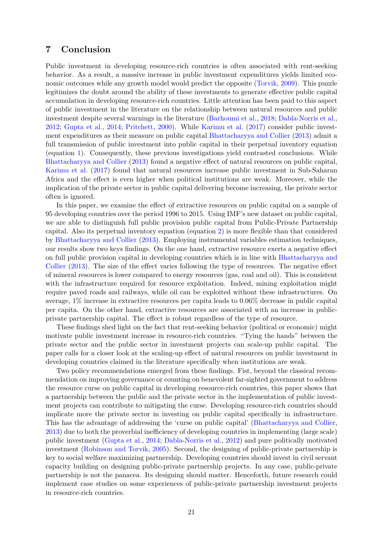# **7 Conclusion**

Public investment in developing resource-rich countries is often associated with rent-seeking behavior. As a result, a massive increase in public investment expenditures yields limited economic outcomes while any growth model would predict the opposite [\(Torvik,](#page-24-0) [2009\)](#page-24-0). This puzzle legitimizes the doubt around the ability of these investments to generate effective public capital accumulation in developing resource-rich countries. Little attention has been paid to this aspect of public investment in the literature on the relationship between natural resources and public investment despite several warnings in the literature [\(Barhoumi et al.,](#page-21-5) [2018;](#page-21-5) [Dabla-Norris et al.,](#page-22-2) [2012;](#page-22-2) [Gupta et al.,](#page-22-7) [2014;](#page-22-7) [Pritchett,](#page-23-6) [2000\)](#page-23-6). While [Karimu et al.](#page-22-1) [\(2017\)](#page-22-1) consider public investment expenditures as their measure on public capital [Bhattacharyya and Collier](#page-21-1) [\(2013\)](#page-21-1) admit a full transmission of public investment into public capital in their perpetual inventory equation (equation [1\)](#page-6-1). Consequently, these previous investigations yield contrasted conclusions. While [Bhattacharyya and Collier](#page-21-1) [\(2013\)](#page-21-1) found a negative effect of natural resources on public capital, [Karimu et al.](#page-22-1) [\(2017\)](#page-22-1) found that natural resources increase public investment in Sub-Saharan Africa and the effect is even higher when political institutions are weak. Moreover, while the implication of the private sector in public capital delivering become increasing, the private sector often is ignored.

In this paper, we examine the effect of extractive resources on public capital on a sample of 95 developing countries over the period 1996 to 2015. Using IMF's new dataset on public capital, we are able to distinguish full public provision public capital from Public-Private Partnership capital. Also its perpetual inventory equation (equation [2\)](#page-7-0) is more flexible than that considered by [Bhattacharyya and Collier](#page-21-1) [\(2013\)](#page-21-1). Employing instrumental variables estimation techniques, our results show two keys findings. On the one hand, extractive resource exerts a negative effect on full public provision capital in developing countries which is in line with [Bhattacharyya and](#page-21-1) [Collier](#page-21-1) [\(2013\)](#page-21-1). The size of the effect varies following the type of resources. The negative effect of mineral resources is lower compared to energy resources (gas, coal and oil). This is consistent with the infrastructure required for resource exploitation. Indeed, mining exploitation might require paved roads and railways, while oil can be exploited without these infrastructures. On average, 1% increase in extractive resources per capita leads to 0.06% decrease in public capital per capita. On the other hand, extractive resources are associated with an increase in publicprivate partnership capital. The effect is robust regardless of the type of resource.

These findings shed light on the fact that rent-seeking behavior (political or economic) might motivate public investment increase in resource-rich countries. "Tying the hands" between the private sector and the public sector in investment projects can scale-up public capital. The paper calls for a closer look at the scaling-up effect of natural resources on public investment in developing countries claimed in the literature specifically when institutions are weak.

Two policy recommendations emerged from these findings. Fist, beyond the classical recommendation on improving governance or counting on benevolent far-sighted government to address the resource curse on public capital in developing resource-rich countries, this paper shows that a partnership between the public and the private sector in the implementation of public investment projects can contribute to mitigating the curse. Developing resource-rich countries should implicate more the private sector in investing on public capital specifically in infrastructure. This has the advantage of addressing the 'curse on public capital' [\(Bhattacharyya and Collier,](#page-21-1) [2013\)](#page-21-1) due to both the proverbial inefficiency of developing countries in implementing (large scale) public investment [\(Gupta et al.,](#page-22-7) [2014;](#page-22-7) [Dabla-Norris et al.,](#page-22-2) [2012\)](#page-22-2) and pure politically motivated investment [\(Robinson and Torvik,](#page-23-1) [2005\)](#page-23-1). Second, the designing of public-private partnership is key to social welfare maximizing partnership. Developing countries should invest in civil servant capacity building on designing public-private partnership projects. In any case, public-private partnership is not the panacea. Its designing should matter. Henceforth, future research could implement case studies on some experiences of public-private partnership investment projects in resource-rich countries.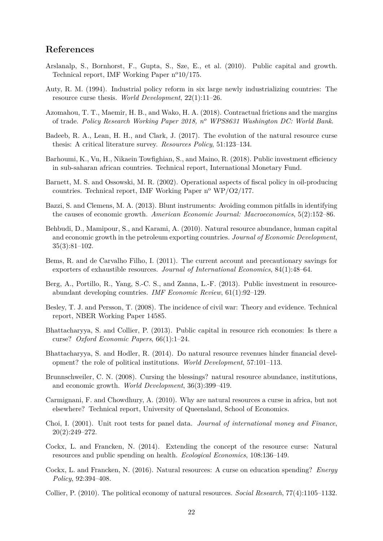# **References**

- <span id="page-21-12"></span>Arslanalp, S., Bornhorst, F., Gupta, S., Sze, E., et al. (2010). Public capital and growth. Technical report, IMF Working Paper  $n^{\circ}10/175$ .
- <span id="page-21-0"></span>Auty, R. M. (1994). Industrial policy reform in six large newly industrializing countries: The resource curse thesis. *World Development*, 22(1):11–26.
- <span id="page-21-11"></span>Azomahou, T. T., Maemir, H. B., and Wako, H. A. (2018). Contractual frictions and the margins of trade. *Policy Research Working Paper 2018, n<sup>o</sup> WPS8631 Washington DC: World Bank*.
- <span id="page-21-13"></span>Badeeb, R. A., Lean, H. H., and Clark, J. (2017). The evolution of the natural resource curse thesis: A critical literature survey. *Resources Policy*, 51:123–134.
- <span id="page-21-5"></span>Barhoumi, K., Vu, H., Nikaein Towfighian, S., and Maino, R. (2018). Public investment efficiency in sub-saharan african countries. Technical report, International Monetary Fund.
- <span id="page-21-8"></span>Barnett, M. S. and Ossowski, M. R. (2002). Operational aspects of fiscal policy in oil-producing countries. Technical report, IMF Working Paper  $n^{\circ}$  WP/O2/177.
- <span id="page-21-16"></span>Bazzi, S. and Clemens, M. A. (2013). Blunt instruments: Avoiding common pitfalls in identifying the causes of economic growth. *American Economic Journal: Macroeconomics*, 5(2):152–86.
- <span id="page-21-9"></span>Behbudi, D., Mamipour, S., and Karami, A. (2010). Natural resource abundance, human capital and economic growth in the petroleum exporting countries. *Journal of Economic Development*, 35(3):81–102.
- <span id="page-21-7"></span>Bems, R. and de Carvalho Filho, I. (2011). The current account and precautionary savings for exporters of exhaustible resources. *Journal of International Economics*, 84(1):48–64.
- <span id="page-21-10"></span>Berg, A., Portillo, R., Yang, S.-C. S., and Zanna, L.-F. (2013). Public investment in resourceabundant developing countries. *IMF Economic Review*, 61(1):92–129.
- <span id="page-21-4"></span>Besley, T. J. and Persson, T. (2008). The incidence of civil war: Theory and evidence. Technical report, NBER Working Paper 14585.
- <span id="page-21-1"></span>Bhattacharyya, S. and Collier, P. (2013). Public capital in resource rich economies: Is there a curse? *Oxford Economic Papers*, 66(1):1–24.
- <span id="page-21-6"></span>Bhattacharyya, S. and Hodler, R. (2014). Do natural resource revenues hinder financial development? the role of political institutions. *World Development*, 57:101–113.
- <span id="page-21-14"></span>Brunnschweiler, C. N. (2008). Cursing the blessings? natural resource abundance, institutions, and economic growth. *World Development*, 36(3):399–419.
- <span id="page-21-17"></span>Carmignani, F. and Chowdhury, A. (2010). Why are natural resources a curse in africa, but not elsewhere? Technical report, University of Queensland, School of Economics.
- <span id="page-21-15"></span>Choi, I. (2001). Unit root tests for panel data. *Journal of international money and Finance*, 20(2):249–272.
- <span id="page-21-2"></span>Cockx, L. and Francken, N. (2014). Extending the concept of the resource curse: Natural resources and public spending on health. *Ecological Economics*, 108:136–149.
- <span id="page-21-3"></span>Cockx, L. and Francken, N. (2016). Natural resources: A curse on education spending? *Energy Policy*, 92:394–408.
- <span id="page-21-18"></span>Collier, P. (2010). The political economy of natural resources. *Social Research*, 77(4):1105–1132.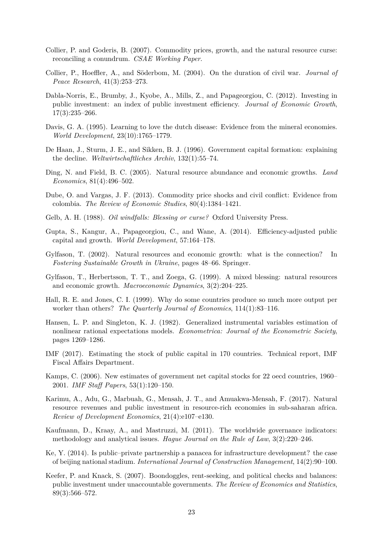- <span id="page-22-18"></span>Collier, P. and Goderis, B. (2007). Commodity prices, growth, and the natural resource curse: reconciling a conundrum. *CSAE Working Paper*.
- <span id="page-22-4"></span>Collier, P., Hoeffler, A., and Söderbom, M. (2004). On the duration of civil war. *Journal of Peace Research*, 41(3):253–273.
- <span id="page-22-2"></span>Dabla-Norris, E., Brumby, J., Kyobe, A., Mills, Z., and Papageorgiou, C. (2012). Investing in public investment: an index of public investment efficiency. *Journal of Economic Growth*, 17(3):235–266.
- <span id="page-22-13"></span>Davis, G. A. (1995). Learning to love the dutch disease: Evidence from the mineral economies. *World Development*, 23(10):1765–1779.
- <span id="page-22-16"></span>De Haan, J., Sturm, J. E., and Sikken, B. J. (1996). Government capital formation: explaining the decline. *Weltwirtschaftliches Archiv*, 132(1):55–74.
- <span id="page-22-14"></span>Ding, N. and Field, B. C. (2005). Natural resource abundance and economic growths. *Land Economics*, 81(4):496–502.
- <span id="page-22-5"></span>Dube, O. and Vargas, J. F. (2013). Commodity price shocks and civil conflict: Evidence from colombia. *The Review of Economic Studies*, 80(4):1384–1421.
- <span id="page-22-8"></span>Gelb, A. H. (1988). *Oil windfalls: Blessing or curse?* Oxford University Press.
- <span id="page-22-7"></span>Gupta, S., Kangur, A., Papageorgiou, C., and Wane, A. (2014). Efficiency-adjusted public capital and growth. *World Development*, 57:164–178.
- <span id="page-22-0"></span>Gylfason, T. (2002). Natural resources and economic growth: what is the connection? In *Fostering Sustainable Growth in Ukraine*, pages 48–66. Springer.
- <span id="page-22-9"></span>Gylfason, T., Herbertsson, T. T., and Zoega, G. (1999). A mixed blessing: natural resources and economic growth. *Macroeconomic Dynamics*, 3(2):204–225.
- <span id="page-22-10"></span>Hall, R. E. and Jones, C. I. (1999). Why do some countries produce so much more output per worker than others? *The Quarterly Journal of Economics*, 114(1):83–116.
- <span id="page-22-17"></span>Hansen, L. P. and Singleton, K. J. (1982). Generalized instrumental variables estimation of nonlinear rational expectations models. *Econometrica: Journal of the Econometric Society*, pages 1269–1286.
- <span id="page-22-12"></span>IMF (2017). Estimating the stock of public capital in 170 countries. Technical report, IMF Fiscal Affairs Department.
- <span id="page-22-11"></span>Kamps, C. (2006). New estimates of government net capital stocks for 22 oecd countries, 1960– 2001. *IMF Staff Papers*, 53(1):120–150.
- <span id="page-22-1"></span>Karimu, A., Adu, G., Marbuah, G., Mensah, J. T., and Amuakwa-Mensah, F. (2017). Natural resource revenues and public investment in resource-rich economies in sub-saharan africa. *Review of Development Economics*, 21(4):e107–e130.
- <span id="page-22-15"></span>Kaufmann, D., Kraay, A., and Mastruzzi, M. (2011). The worldwide governance indicators: methodology and analytical issues. *Hague Journal on the Rule of Law*, 3(2):220–246.
- <span id="page-22-6"></span>Ke, Y. (2014). Is public–private partnership a panacea for infrastructure development? the case of beijing national stadium. *International Journal of Construction Management*, 14(2):90–100.
- <span id="page-22-3"></span>Keefer, P. and Knack, S. (2007). Boondoggles, rent-seeking, and political checks and balances: public investment under unaccountable governments. *The Review of Economics and Statistics*, 89(3):566–572.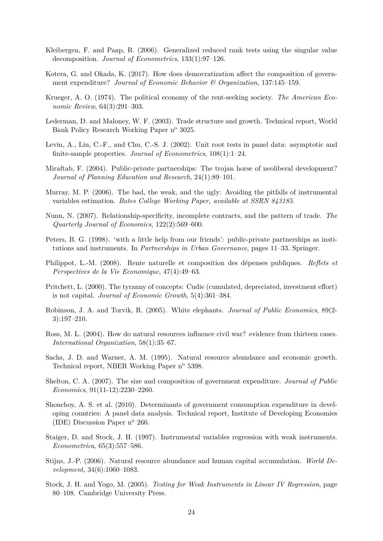- <span id="page-23-15"></span>Kleibergen, F. and Paap, R. (2006). Generalized reduced rank tests using the singular value decomposition. *Journal of Econometrics*, 133(1):97–126.
- <span id="page-23-11"></span>Kotera, G. and Okada, K. (2017). How does democratization affect the composition of government expenditure? *Journal of Economic Behavior & Organization*, 137:145–159.
- <span id="page-23-3"></span>Krueger, A. O. (1974). The political economy of the rent-seeking society. *The American Economic Review*, 64(3):291–303.
- <span id="page-23-10"></span>Lederman, D. and Maloney, W. F. (2003). Trade structure and growth. Technical report, World Bank Policy Research Working Paper n<sup>o</sup> 3025.
- <span id="page-23-14"></span>Levin, A., Lin, C.-F., and Chu, C.-S. J. (2002). Unit root tests in panel data: asymptotic and finite-sample properties. *Journal of Econometrics*, 108(1):1–24.
- <span id="page-23-5"></span>Miraftab, F. (2004). Public-private partnerships: The trojan horse of neoliberal development? *Journal of Planning Education and Research*, 24(1):89–101.
- <span id="page-23-18"></span>Murray, M. P. (2006). The bad, the weak, and the ugly: Avoiding the pitfalls of instrumental variables estimation. *Bates College Working Paper, available at SSRN 843185*.
- <span id="page-23-9"></span>Nunn, N. (2007). Relationship-specificity, incomplete contracts, and the pattern of trade. *The Quarterly Journal of Economics*, 122(2):569–600.
- <span id="page-23-7"></span>Peters, B. G. (1998). 'with a little help from our friends': public-private partnerships as institutions and instruments. In *Partnerships in Urban Governance*, pages 11–33. Springer.
- <span id="page-23-8"></span>Philippot, L.-M. (2008). Rente naturelle et composition des dépenses publiques. *Reflets et Perspectives de la Vie Economique*, 47(4):49–63.
- <span id="page-23-6"></span>Pritchett, L. (2000). The tyranny of concepts: Cudie (cumulated, depreciated, investment effort) is not capital. *Journal of Economic Growth*, 5(4):361–384.
- <span id="page-23-1"></span>Robinson, J. A. and Torvik, R. (2005). White elephants. *Journal of Public Economics*, 89(2- 3):197–210.
- <span id="page-23-4"></span>Ross, M. L. (2004). How do natural resources influence civil war? evidence from thirteen cases. *International Organization*, 58(1):35–67.
- <span id="page-23-0"></span>Sachs, J. D. and Warner, A. M. (1995). Natural resource abundance and economic growth. Technical report, NBER Working Paper n<sup>o</sup> 5398.
- <span id="page-23-12"></span>Shelton, C. A. (2007). The size and composition of government expenditure. *Journal of Public Economics*, 91(11-12):2230–2260.
- <span id="page-23-13"></span>Shonchoy, A. S. et al. (2010). Determinants of government consumption expenditure in developing countries: A panel data analysis. Technical report, Institute of Developing Economies (IDE) Discussion Paper  $n^{\circ}$  266.
- <span id="page-23-17"></span>Staiger, D. and Stock, J. H. (1997). Instrumental variables regression with weak instruments. *Econometrica*, 65(3):557–586.
- <span id="page-23-2"></span>Stijns, J.-P. (2006). Natural resource abundance and human capital accumulation. *World Development*, 34(6):1060–1083.
- <span id="page-23-16"></span>Stock, J. H. and Yogo, M. (2005). *Testing for Weak Instruments in Linear IV Regression*, page 80–108. Cambridge University Press.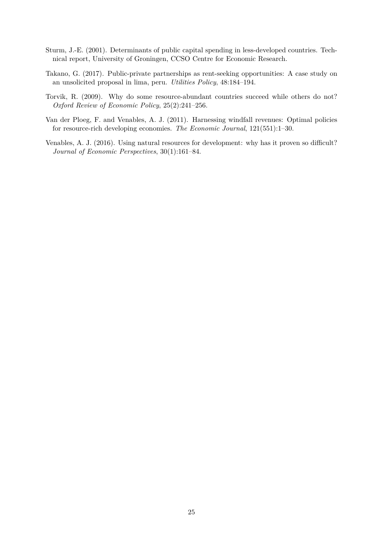- <span id="page-24-4"></span>Sturm, J.-E. (2001). Determinants of public capital spending in less-developed countries. Technical report, University of Groningen, CCSO Centre for Economic Research.
- <span id="page-24-3"></span>Takano, G. (2017). Public-private partnerships as rent-seeking opportunities: A case study on an unsolicited proposal in lima, peru. *Utilities Policy*, 48:184–194.
- <span id="page-24-0"></span>Torvik, R. (2009). Why do some resource-abundant countries succeed while others do not? *Oxford Review of Economic Policy*, 25(2):241–256.
- <span id="page-24-1"></span>Van der Ploeg, F. and Venables, A. J. (2011). Harnessing windfall revenues: Optimal policies for resource-rich developing economies. *The Economic Journal*, 121(551):1–30.
- <span id="page-24-2"></span>Venables, A. J. (2016). Using natural resources for development: why has it proven so difficult? *Journal of Economic Perspectives*, 30(1):161–84.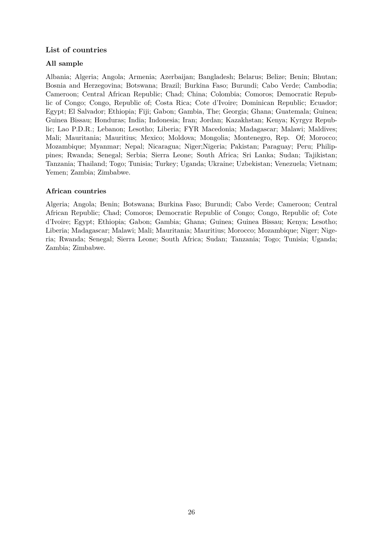# **List of countries**

# **All sample**

Albania; Algeria; Angola; Armenia; Azerbaijan; Bangladesh; Belarus; Belize; Benin; Bhutan; Bosnia and Herzegovina; Botswana; Brazil; Burkina Faso; Burundi; Cabo Verde; Cambodia; Cameroon; Central African Republic; Chad; China; Colombia; Comoros; Democratic Republic of Congo; Congo, Republic of; Costa Rica; Cote d'Ivoire; Dominican Republic; Ecuador; Egypt; El Salvador; Ethiopia; Fiji; Gabon; Gambia, The; Georgia; Ghana; Guatemala; Guinea; Guinea Bissau; Honduras; India; Indonesia; Iran; Jordan; Kazakhstan; Kenya; Kyrgyz Republic; Lao P.D.R.; Lebanon; Lesotho; Liberia; FYR Macedonia; Madagascar; Malawi; Maldives; Mali; Mauritania; Mauritius; Mexico; Moldova; Mongolia; Montenegro, Rep. Of; Morocco; Mozambique; Myanmar; Nepal; Nicaragua; Niger;Nigeria; Pakistan; Paraguay; Peru; Philippines; Rwanda; Senegal; Serbia; Sierra Leone; South Africa; Sri Lanka; Sudan; Tajikistan; Tanzania; Thailand; Togo; Tunisia; Turkey; Uganda; Ukraine; Uzbekistan; Venezuela; Vietnam; Yemen; Zambia; Zimbabwe.

# **African countries**

Algeria; Angola; Benin; Botswana; Burkina Faso; Burundi; Cabo Verde; Cameroon; Central African Republic; Chad; Comoros; Democratic Republic of Congo; Congo, Republic of; Cote d'Ivoire; Egypt; Ethiopia; Gabon; Gambia; Ghana; Guinea; Guinea Bissau; Kenya; Lesotho; Liberia; Madagascar; Malawi; Mali; Mauritania; Mauritius; Morocco; Mozambique; Niger; Nigeria; Rwanda; Senegal; Sierra Leone; South Africa; Sudan; Tanzania; Togo; Tunisia; Uganda; Zambia; Zimbabwe.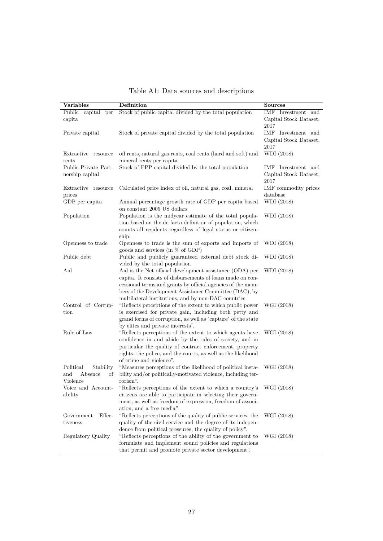<span id="page-26-0"></span>

| Variables                                                  | Definition                                                                                                                                                                                                                                                                                              | <b>Sources</b>                                                   |
|------------------------------------------------------------|---------------------------------------------------------------------------------------------------------------------------------------------------------------------------------------------------------------------------------------------------------------------------------------------------------|------------------------------------------------------------------|
| Public<br>capital<br>per<br>capita                         | Stock of public capital divided by the total population                                                                                                                                                                                                                                                 | $\overline{\text{IMF}}$ Investment and<br>Capital Stock Dataset, |
|                                                            |                                                                                                                                                                                                                                                                                                         | 2017                                                             |
| Private capital                                            | Stock of private capital divided by the total population                                                                                                                                                                                                                                                | IMF Investment and<br>Capital Stock Dataset,<br>2017             |
| Extractive resource<br>rents                               | oil rents, natural gas rents, coal rents (hard and soft) and<br>mineral rents per capita                                                                                                                                                                                                                | WDI (2018)                                                       |
| Public-Private Part-<br>nership capital                    | Stock of PPP capital divided by the total population                                                                                                                                                                                                                                                    | IMF Investment and<br>Capital Stock Dataset,<br>2017             |
| Extractive resource<br>prices                              | Calculated price index of oil, natural gas, coal, mineral                                                                                                                                                                                                                                               | IMF commodity prices<br>database                                 |
| GDP per capita                                             | Annual percentage growth rate of GDP per capita based<br>on constant 2005 US dollars                                                                                                                                                                                                                    | WDI (2018)                                                       |
| Population                                                 | Population is the midyear estimate of the total popula-<br>tion based on the de facto definition of population, which<br>counts all residents regardless of legal status or citizen-<br>ship.                                                                                                           | WDI (2018)                                                       |
| Openness to trade                                          | Openness to trade is the sum of exports and imports of<br>goods and services (in $\%$ of GDP)                                                                                                                                                                                                           | WDI (2018)                                                       |
| Public debt                                                | Public and publicly guaranteed external debt stock di-<br>vided by the total population                                                                                                                                                                                                                 | WDI (2018)                                                       |
| Aid                                                        | Aid is the Net official development assistance (ODA) per<br>capita. It consists of disbursements of loans made on con-<br>cessional terms and grants by official agencies of the mem-<br>bers of the Development Assistance Committee (DAC), by<br>multilateral institutions, and by non-DAC countries. | WDI (2018)                                                       |
| Control of Corrup-<br>tion                                 | "Reflects perceptions of the extent to which public power<br>is exercised for private gain, including both petty and<br>grand forms of corruption, as well as "capture" of the state<br>by elites and private interests".                                                                               | WGI (2018)                                                       |
| Rule of Law                                                | "Reflects perceptions of the extent to which agents have<br>confidence in and abide by the rules of society, and in<br>particular the quality of contract enforcement, property<br>rights, the police, and the courts, as well as the likelihood<br>of crime and violence".                             | WGI (2018)                                                       |
| Political<br>Stability<br>and<br>Absence<br>of<br>Violence | "Measures perceptions of the likelihood of political insta-<br>bility and/or politically-motivated violence, including ter-<br>rorism".                                                                                                                                                                 | WGI (2018)                                                       |
| Voice and Account-<br>ability                              | "Reflects perceptions of the extent to which a country's<br>citizens are able to participate in selecting their govern-<br>ment, as well as freedom of expression, freedom of associ-<br>ation, and a free media".                                                                                      | WGI (2018)                                                       |
| Effec-<br>Government<br>tiveness                           | "Reflects perceptions of the quality of public services, the<br>quality of the civil service and the degree of its indepen-<br>dence from political pressures, the quality of policy".                                                                                                                  | WGI (2018)                                                       |
| Regulatory Quality                                         | "Reflects perceptions of the ability of the government to<br>formulate and implement sound policies and regulations<br>that permit and promote private sector development".                                                                                                                             | WGI (2018)                                                       |

Table A1: Data sources and descriptions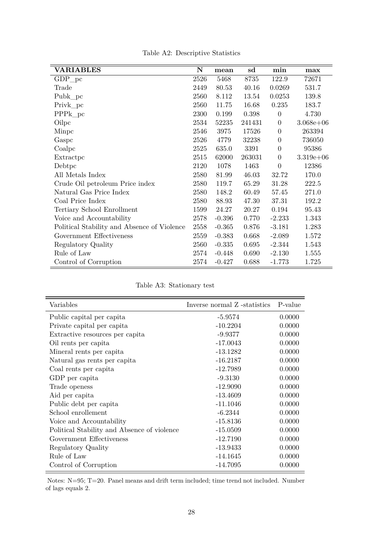| <b>VARIABLES</b>                            | N    | mean     | sd     | min              | max           |
|---------------------------------------------|------|----------|--------|------------------|---------------|
| $GDP_{p}c$                                  | 2526 | 5468     | 8735   | 122.9            | 72671         |
| Trade                                       | 2449 | 80.53    | 40.16  | 0.0269           | 531.7         |
| Pubk_pc                                     | 2560 | 8.112    | 13.54  | 0.0253           | 139.8         |
| Privk_pc                                    | 2560 | 11.75    | 16.68  | 0.235            | 183.7         |
| $PPPk_pc$                                   | 2300 | 0.199    | 0.398  | $\overline{0}$   | 4.730         |
| Oilpc                                       | 2534 | 52235    | 241431 | $\theta$         | $3.068e + 06$ |
| Minpc                                       | 2546 | 3975     | 17526  | $\theta$         | 263394        |
| Gaspc                                       | 2526 | 4779     | 32238  | $\boldsymbol{0}$ | 736050        |
| Coalpc                                      | 2525 | 635.0    | 3391   | $\boldsymbol{0}$ | 95386         |
| Extractpc                                   | 2515 | 62000    | 263031 | $\boldsymbol{0}$ | $3.319e+06$   |
| Debtpc                                      | 2120 | 1078     | 1463   | $\overline{0}$   | 12386         |
| All Metals Index                            | 2580 | 81.99    | 46.03  | 32.72            | 170.0         |
| Crude Oil petroleum Price index             | 2580 | 119.7    | 65.29  | 31.28            | 222.5         |
| Natural Gas Price Index                     | 2580 | 148.2    | 60.49  | 57.45            | 271.0         |
| Coal Price Index                            | 2580 | 88.93    | 47.30  | 37.31            | 192.2         |
| Tertiary School Enrollment                  | 1599 | 24.27    | 20.27  | 0.194            | 95.43         |
| Voice and Accountability                    | 2578 | $-0.396$ | 0.770  | $-2.233$         | 1.343         |
| Political Stability and Absence of Violence | 2558 | $-0.365$ | 0.876  | $-3.181$         | 1.283         |
| Government Effectiveness                    | 2559 | $-0.383$ | 0.668  | $-2.089$         | 1.572         |
| Regulatory Quality                          | 2560 | $-0.335$ | 0.695  | $-2.344$         | 1.543         |
| Rule of Law                                 | 2574 | $-0.448$ | 0.690  | $-2.130$         | 1.555         |
| Control of Corruption                       | 2574 | $-0.427$ | 0.688  | $-1.773$         | 1.725         |

Table A2: Descriptive Statistics

Table A3: Stationary test

<span id="page-27-0"></span>

| Variables                                   | Inverse normal Z -statistics P-value |        |
|---------------------------------------------|--------------------------------------|--------|
| Public capital per capita                   | $-5.9574$                            | 0.0000 |
| Private capital per capita                  | $-10.2204$                           | 0.0000 |
| Extractive resources per capita             | $-9.9377$                            | 0.0000 |
| Oil rents per capita                        | $-17.0043$                           | 0.0000 |
| Mineral rents per capita                    | $-13.1282$                           | 0.0000 |
| Natural gas rents per capita                | $-16.2187$                           | 0.0000 |
| Coal rents per capita                       | $-12.7989$                           | 0.0000 |
| GDP per capita                              | $-9.3130$                            | 0.0000 |
| Trade openess                               | $-12.9090$                           | 0.0000 |
| Aid per capita                              | $-13.4609$                           | 0.0000 |
| Public debt per capita                      | $-11.1046$                           | 0.0000 |
| School enrollement                          | $-6.2344$                            | 0.0000 |
| Voice and Accountability                    | $-15.8136$                           | 0.0000 |
| Political Stability and Absence of violence | $-15.0509$                           | 0.0000 |
| Government Effectiveness                    | $-12.7190$                           | 0.0000 |
| Regulatory Quality                          | $-13.9433$                           | 0.0000 |
| Rule of Law                                 | $-14.1645$                           | 0.0000 |
| Control of Corruption                       | $-14.7095$                           | 0.0000 |

Notes: N=95; T=20. Panel means and drift term included; time trend not included. Number of lags equals 2.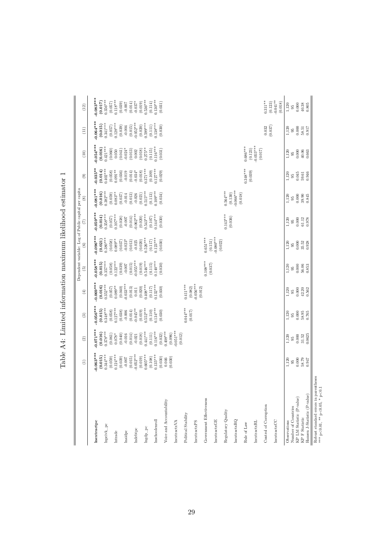|                                                                                                                           | $\widehat{\Xi}$         | $\odot$                                                                                                                | $\circledR$           | $\textcircled{\scriptsize{1}}$                                    | $\widehat{5}$                                                    | $\widehat{\circ}$                                                 | Dependent variable: Log of Public capital per capita<br>$\widehat{E}$ | $\circledast$                    | $\circledcirc$                       | $(10)$                                          | $\begin{array}{c} (11) \\ \end{array}$                           | $(12)$                                                        |
|---------------------------------------------------------------------------------------------------------------------------|-------------------------|------------------------------------------------------------------------------------------------------------------------|-----------------------|-------------------------------------------------------------------|------------------------------------------------------------------|-------------------------------------------------------------------|-----------------------------------------------------------------------|----------------------------------|--------------------------------------|-------------------------------------------------|------------------------------------------------------------------|---------------------------------------------------------------|
| lnextractpc                                                                                                               | $0.063***$              | $0.071***$                                                                                                             | $0.056***$            | $0.069***$                                                        | $0.058***$                                                       | $0.096***$                                                        | $0.059***$                                                            | $0.081***$                       | $0.035**$                            | $-0.054***$                                     | $-0.064***$                                                      | $0.083***$                                                    |
|                                                                                                                           | $(0.015)$<br>$0.344***$ |                                                                                                                        | (0.015)               | (0.016)                                                           | $(0.015)$<br>0.357***                                            | $(0.021)$<br>$0.380***$                                           | $(0.014)$<br>0.358***                                                 | $(0.016)$<br>$0.382***$          | $(0.014)$<br>0.402***                | (0.016)                                         | (0.015)                                                          | (0.017)                                                       |
| Inprivk_pc                                                                                                                | (0.059)                 |                                                                                                                        | $0.348***$<br>(0.058) |                                                                   |                                                                  |                                                                   | (0.057)                                                               |                                  | (0.058)                              | $0.421***$                                      | $0.341***$                                                       | $0.356***$                                                    |
| $\label{eq:intrade} \textbf{Intrade}$                                                                                     | $0.124***$              | $\begin{array}{c} \textbf{(0.016)} \\ 0.378*** \\ \textbf{(0.061)} \\ \textbf{(0.061)} \\ \textbf{0.078*} \end{array}$ | $0.127***$            | $0.352***$<br>$(0.057)$<br>$0.089***$                             | $\begin{array}{c} (0.058) \\ 0.122*** \\ (0.039) \end{array}$    | $(0.058)$<br>$0.089**$                                            | $0.107***$                                                            | $(0.059)$<br>$0.083**$           | $0.091**$                            | $\begin{array}{c} (0.060) \\ 0.050 \end{array}$ | $(0.057)$<br>0.128***                                            | $\begin{array}{c} (0.057) \\ 0.118*** \\ (0.039) \end{array}$ |
|                                                                                                                           | (0.039)                 | (0.040)                                                                                                                | (0.038)               | (0.040)                                                           |                                                                  | $(0.037)$<br>-0.023*                                              | (0.038)                                                               | (0.037)                          | (0.036)                              | (0.041)                                         | (0.039)                                                          |                                                               |
| lnaidpc                                                                                                                   |                         | $-0.016$                                                                                                               | $-0.006$              | $0.033***$                                                        | $-0.007$                                                         |                                                                   | $-0.007$                                                              | $-0.014$                         | $-0.019$                             | $-0.024*$                                       |                                                                  | $-0.007$                                                      |
| Indebtpc                                                                                                                  | $-0.052***$<br>(0.015)  | (0.014)<br>$-0.021$                                                                                                    | $0.045**$<br>(0.014)  | (0.013)<br>0.011                                                  | $0.055***$<br>(0.015)                                            | (0.013)<br>$-0.025$                                               | $-0.062***$<br>(0.014)                                                | (0.013)<br>$-0.026$              | $-0.034*$<br>(0.014)                 | (0.013)<br>0.002                                | $0.052***$<br>(0.015)                                            | $(0.014)$<br>-0.037*                                          |
|                                                                                                                           | (0.019)                 | (0.018)                                                                                                                | (0.019)               | (0.020)                                                           | (0.019)                                                          | (0.020)                                                           | (0.020)                                                               | (0.021)                          | (0.018)                              | (0.018)                                         | (0.020)                                                          | (0.019)                                                       |
| Ingdp_pc                                                                                                                  | $0.605***$              | $0.441***$                                                                                                             | $0.552***$            | $0.408***$                                                        | $0.546***$                                                       | $0.526***$                                                        | $0.543***$                                                            | $0.515***$                       | $0.371***$                           | $0.275**$                                       | $0.599***$                                                       | $0.536***$                                                    |
| Inschoolenroll                                                                                                            | $(0.108)$<br>$0.135***$ | $0.116***$<br>(0.111)                                                                                                  | $0.134***$<br>(0.110) | $\begin{array}{c} (0.117) \\ 0.132^{***} \\ (0.030) \end{array}$  | $\begin{array}{c} (0.115) \\ 0.140^{***} \\ (0.030) \end{array}$ | $0.123***$<br>(0.117)                                             | $0.144***$<br>(0.107)                                                 | $0.109***$<br>(0.034)<br>(0.113) | $(0.109)$<br>$0.127***$<br>$(0.029)$ | $(0.115)$<br>$0.116***$                         | $\begin{array}{c} (0.111) \\ 0.138 {***} \\ (0.030) \end{array}$ | $(0.114)$<br>0.130***                                         |
| Voice and Accountability                                                                                                  | (0.030)<br>0.046        | $(0.032)$<br>$0.408***$                                                                                                | (0.030)               |                                                                   |                                                                  |                                                                   | (0.030)                                                               |                                  |                                      | (0.031)                                         |                                                                  | (0.031)                                                       |
| $l$ nextractx $\mathbf{VA}$                                                                                               | (0.030)                 | $(0.096)$<br>$-0.051***$                                                                                               |                       |                                                                   |                                                                  |                                                                   |                                                                       |                                  |                                      |                                                 |                                                                  |                                                               |
| Political Stability                                                                                                       |                         | (0.012)                                                                                                                | $0.044***$            | $0.411***$                                                        |                                                                  |                                                                   |                                                                       |                                  |                                      |                                                 |                                                                  |                                                               |
| lnextractxPS                                                                                                              |                         |                                                                                                                        | (0.017)               | $\begin{array}{c} (0.082) \\ -0.056^{***} \\ (0.012) \end{array}$ |                                                                  |                                                                   |                                                                       |                                  |                                      |                                                 |                                                                  |                                                               |
|                                                                                                                           |                         |                                                                                                                        |                       |                                                                   |                                                                  |                                                                   |                                                                       |                                  |                                      |                                                 |                                                                  |                                                               |
| Government Effectiveness                                                                                                  |                         |                                                                                                                        |                       |                                                                   | $0.108***$<br>(0.037)                                            | $0.651***$                                                        |                                                                       |                                  |                                      |                                                 |                                                                  |                                                               |
| lnextractxGE                                                                                                              |                         |                                                                                                                        |                       |                                                                   |                                                                  | $\begin{array}{c} (0.151) \\ -0.080^{***} \\ (0.022) \end{array}$ |                                                                       |                                  |                                      |                                                 |                                                                  |                                                               |
| Regulatory Quality                                                                                                        |                         |                                                                                                                        |                       |                                                                   |                                                                  |                                                                   | $0.143***$<br>(0.036)                                                 | $0.564***$<br>(0.130)            |                                      |                                                 |                                                                  |                                                               |
| nextractiveRQ                                                                                                             |                         |                                                                                                                        |                       |                                                                   |                                                                  |                                                                   |                                                                       | $0.066***$<br>(0.018)            |                                      |                                                 |                                                                  |                                                               |
| Rule of Law                                                                                                               |                         |                                                                                                                        |                       |                                                                   |                                                                  |                                                                   |                                                                       |                                  | $0.348***$                           | $0.686***$                                      |                                                                  |                                                               |
| lnextractxRL                                                                                                              |                         |                                                                                                                        |                       |                                                                   |                                                                  |                                                                   |                                                                       |                                  | (0.039)                              | $0.055***$<br>(0.123)                           |                                                                  |                                                               |
| Control of Corruption                                                                                                     |                         |                                                                                                                        |                       |                                                                   |                                                                  |                                                                   |                                                                       |                                  |                                      | (0.017)                                         | 0.032                                                            | $0.311**$                                                     |
| lnextractxCC                                                                                                              |                         |                                                                                                                        |                       |                                                                   |                                                                  |                                                                   |                                                                       |                                  |                                      |                                                 | (0.037)                                                          | $-0.041**$<br>(0.123)<br>(0.018)                              |
| Observations                                                                                                              | 1,120                   | 1,120                                                                                                                  | 1,120                 | 1,120                                                             | 1,120                                                            | 1,120                                                             | 1,120                                                                 | 1,120                            | 1,120                                | $1,120$<br>95                                   | 1,120                                                            | 1,120                                                         |
| Number of Countries                                                                                                       | $0.000$<br>$95^{\circ}$ | $95$                                                                                                                   | $95^{\circ}$          | $95^{\circ}$                                                      | $95\,$                                                           | $95^{\circ}$                                                      | $95^{\circ}$                                                          | $\overline{95}$                  | $95^{\circ}$                         | 0.000                                           | $95^{\circ}$                                                     | $\overline{95}$                                               |
| KP LM Statistic (P-value)<br>KP F Statistic                                                                               | 58.79                   | $0.000$<br>31.52                                                                                                       | $0.000$               | 0.000<br>42.20                                                    | $0.000$<br>56.06                                                 | $0.000$<br>35.52                                                  | 0.000<br>61.12                                                        | $0.000\,$<br>39.90               | 0.045<br>59.61                       | 40.06                                           | $0.000$<br>58.51                                                 | 0.000<br>40.38                                                |
| Hansen J-Statistic (P-value)                                                                                              | 0.947                   | 0.0625                                                                                                                 | $58.95$<br>$0.765$    | 0.562                                                             | 0.853                                                            | 0.928                                                             | 0.978                                                                 | 0.845                            | 0.946                                | 0.663                                           | 0.917                                                            | 0.805                                                         |
| Robust standard errors in parentheses $\ast\ast\ast_{\mathbf{p}<0.01}, \ast\ast_{\mathbf{p}<0.05}, \ast_{\mathbf{p}<0.1}$ |                         |                                                                                                                        |                       |                                                                   |                                                                  |                                                                   |                                                                       |                                  |                                      |                                                 |                                                                  |                                                               |

<span id="page-28-0"></span>Table A4: Limited information maximum likelihood estimator  $1\,$ Table A4: Limited information maximum likelihood estimator 1